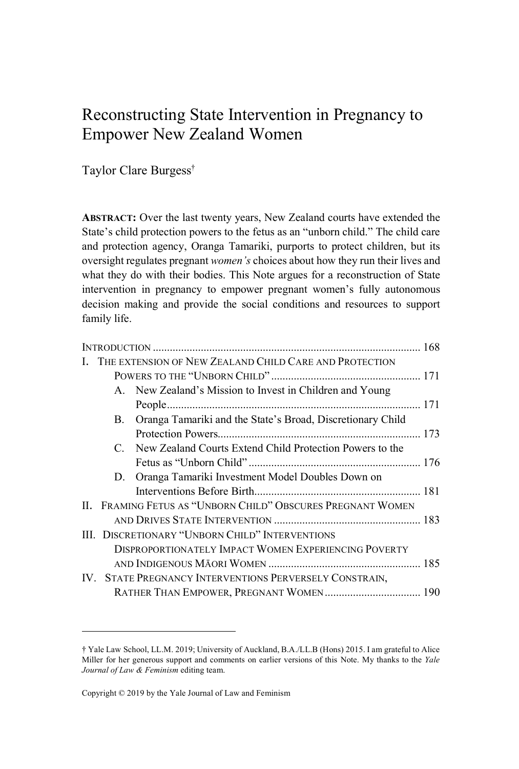# Reconstructing State Intervention in Pregnancy to Empower New Zealand Women

Taylor Clare Burgess †

**ABSTRACT:** Over the last twenty years, New Zealand courts have extended the State's child protection powers to the fetus as an "unborn child." The child care and protection agency, Oranga Tamariki, purports to protect children, but its oversight regulates pregnant *women's* choices about how they run their lives and what they do with their bodies. This Note argues for a reconstruction of State intervention in pregnancy to empower pregnant women's fully autonomous decision making and provide the social conditions and resources to support family life.

| $\mathbf{B}$ . | Oranga Tamariki and the State's Broad, Discretionary Child |                                                                                                                                                                                                                                                                                                                                                                                                                                                                                                                             |
|----------------|------------------------------------------------------------|-----------------------------------------------------------------------------------------------------------------------------------------------------------------------------------------------------------------------------------------------------------------------------------------------------------------------------------------------------------------------------------------------------------------------------------------------------------------------------------------------------------------------------|
|                |                                                            |                                                                                                                                                                                                                                                                                                                                                                                                                                                                                                                             |
|                |                                                            |                                                                                                                                                                                                                                                                                                                                                                                                                                                                                                                             |
|                |                                                            |                                                                                                                                                                                                                                                                                                                                                                                                                                                                                                                             |
|                |                                                            |                                                                                                                                                                                                                                                                                                                                                                                                                                                                                                                             |
|                |                                                            |                                                                                                                                                                                                                                                                                                                                                                                                                                                                                                                             |
|                |                                                            |                                                                                                                                                                                                                                                                                                                                                                                                                                                                                                                             |
|                |                                                            |                                                                                                                                                                                                                                                                                                                                                                                                                                                                                                                             |
|                |                                                            |                                                                                                                                                                                                                                                                                                                                                                                                                                                                                                                             |
|                |                                                            |                                                                                                                                                                                                                                                                                                                                                                                                                                                                                                                             |
|                |                                                            |                                                                                                                                                                                                                                                                                                                                                                                                                                                                                                                             |
|                |                                                            |                                                                                                                                                                                                                                                                                                                                                                                                                                                                                                                             |
|                |                                                            |                                                                                                                                                                                                                                                                                                                                                                                                                                                                                                                             |
|                |                                                            | I. THE EXTENSION OF NEW ZEALAND CHILD CARE AND PROTECTION<br>A. New Zealand's Mission to Invest in Children and Young<br>C. New Zealand Courts Extend Child Protection Powers to the<br>D. Oranga Tamariki Investment Model Doubles Down on<br>II. FRAMING FETUS AS "UNBORN CHILD" OBSCURES PREGNANT WOMEN<br>III. DISCRETIONARY "UNBORN CHILD" INTERVENTIONS<br>DISPROPORTIONATELY IMPACT WOMEN EXPERIENCING POVERTY<br>IV. STATE PREGNANCY INTERVENTIONS PERVERSELY CONSTRAIN,<br>RATHER THAN EMPOWER, PREGNANT WOMEN 190 |

<sup>†</sup> Yale Law School, LL.M. 2019; University of Auckland, B.A./LL.B (Hons) 2015. I am grateful to Alice Miller for her generous support and comments on earlier versions of this Note. My thanks to the *Yale Journal of Law & Feminism* editing team.

Copyright © 2019 by the Yale Journal of Law and Feminism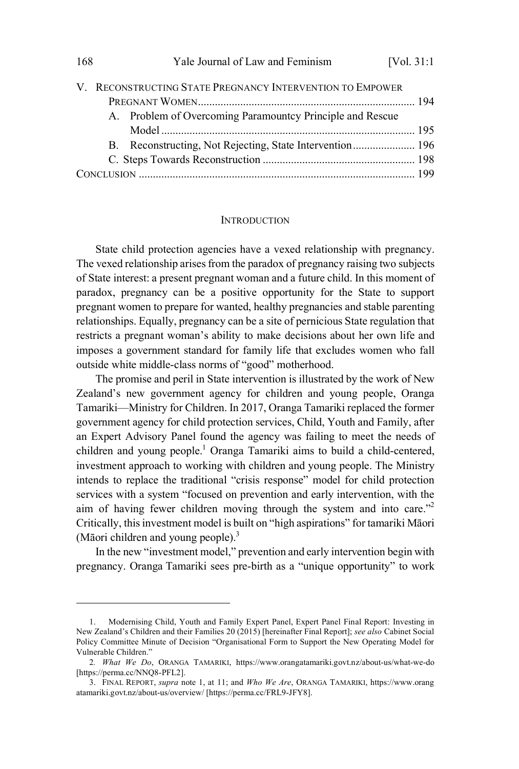|  |  | V. RECONSTRUCTING STATE PREGNANCY INTERVENTION TO EMPOWER |  |
|--|--|-----------------------------------------------------------|--|
|  |  |                                                           |  |
|  |  | A. Problem of Overcoming Paramountcy Principle and Rescue |  |
|  |  |                                                           |  |
|  |  |                                                           |  |
|  |  |                                                           |  |
|  |  |                                                           |  |

#### **INTRODUCTION**

State child protection agencies have a vexed relationship with pregnancy. The vexed relationship arises from the paradox of pregnancy raising two subjects of State interest: a present pregnant woman and a future child. In this moment of paradox, pregnancy can be a positive opportunity for the State to support pregnant women to prepare for wanted, healthy pregnancies and stable parenting relationships. Equally, pregnancy can be a site of pernicious State regulation that restricts a pregnant woman's ability to make decisions about her own life and imposes a government standard for family life that excludes women who fall outside white middle-class norms of "good" motherhood.

The promise and peril in State intervention is illustrated by the work of New Zealand's new government agency for children and young people, Oranga Tamariki—Ministry for Children. In 2017, Oranga Tamariki replaced the former government agency for child protection services, Child, Youth and Family, after an Expert Advisory Panel found the agency was failing to meet the needs of children and young people.<sup>1</sup> Oranga Tamariki aims to build a child-centered, investment approach to working with children and young people. The Ministry intends to replace the traditional "crisis response" model for child protection services with a system "focused on prevention and early intervention, with the aim of having fewer children moving through the system and into care."<sup>2</sup> Critically, thisinvestment model is built on "high aspirations" for tamariki Māori (Māori children and young people).<sup>3</sup>

In the new "investment model," prevention and early intervention begin with pregnancy. Oranga Tamariki sees pre-birth as a "unique opportunity" to work

<sup>1.</sup> Modernising Child, Youth and Family Expert Panel, Expert Panel Final Report: Investing in New Zealand's Children and their Families 20 (2015) [hereinafter Final Report]; *see also* Cabinet Social Policy Committee Minute of Decision "Organisational Form to Support the New Operating Model for Vulnerable Children."

<sup>2</sup>*. What We Do*, ORANGA TAMARIKI, https://www.orangatamariki.govt.nz/about-us/what-we-do [https://perma.cc/NNQ8-PFL2].

<sup>3.</sup> FINAL REPORT, *supra* note 1, at 11; and *Who We Are*, ORANGA TAMARIKI, https://www.orang atamariki.govt.nz/about-us/overview/ [https://perma.cc/FRL9-JFY8].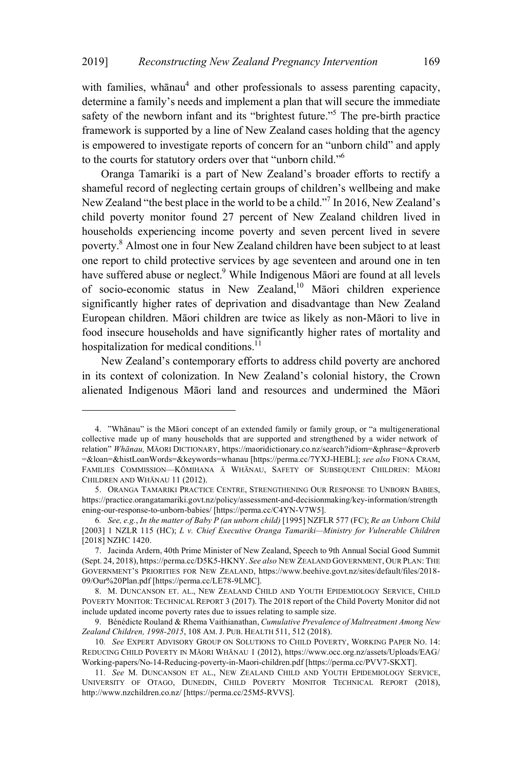with families, whānau<sup>4</sup> and other professionals to assess parenting capacity. determine a family's needs and implement a plan that will secure the immediate safety of the newborn infant and its "brightest future."<sup>5</sup> The pre-birth practice framework is supported by a line of New Zealand cases holding that the agency is empowered to investigate reports of concern for an "unborn child" and apply to the courts for statutory orders over that "unborn child."<sup>6</sup>

Oranga Tamariki is a part of New Zealand's broader efforts to rectify a shameful record of neglecting certain groups of children's wellbeing and make New Zealand "the best place in the world to be a child."<sup>7</sup> In 2016, New Zealand's child poverty monitor found 27 percent of New Zealand children lived in households experiencing income poverty and seven percent lived in severe poverty.<sup>8</sup> Almost one in four New Zealand children have been subject to at least one report to child protective services by age seventeen and around one in ten have suffered abuse or neglect.<sup>9</sup> While Indigenous Māori are found at all levels of socio-economic status in New Zealand,<sup>10</sup> Māori children experience significantly higher rates of deprivation and disadvantage than New Zealand European children. Māori children are twice as likely as non-Māori to live in food insecure households and have significantly higher rates of mortality and hospitalization for medical conditions.<sup>11</sup>

New Zealand's contemporary efforts to address child poverty are anchored in its context of colonization. In New Zealand's colonial history, the Crown alienated Indigenous Māori land and resources and undermined the Māori

<sup>4.</sup> "Whānau" is the Māori concept of an extended family or family group, or "a multigenerational collective made up of many households that are supported and strengthened by a wider network of relation" *Whānau,* MĀORI DICTIONARY, https://maoridictionary.co.nz/search?idiom=&phrase=&proverb =&loan=&histLoanWords=&keywords=whanau [https://perma.cc/7YXJ-HEBL]; *see also* FIONA CRAM, FAMILIES COMMISSION—KŌMIHANA Ā WHĀNAU, SAFETY OF SUBSEQUENT CHILDREN: MĀORI CHILDREN AND WHĀNAU 11 (2012).

<sup>5.</sup> ORANGA TAMARIKI PRACTICE CENTRE, STRENGTHENING OUR RESPONSE TO UNBORN BABIES, https://practice.orangatamariki.govt.nz/policy/assessment-and-decisionmaking/key-information/strength ening-our-response-to-unborn-babies/ [https://perma.cc/C4YN-V7W5].

<sup>6</sup>*. See, e.g.*, *In the matter of Baby P (an unborn child)* [1995] NZFLR 577 (FC); *Re an Unborn Child* [2003] 1 NZLR 115 (HC); *L v. Chief Executive Oranga Tamariki—Ministry for Vulnerable Children* [2018] NZHC 1420.

<sup>7.</sup> Jacinda Ardern, 40th Prime Minister of New Zealand, Speech to 9th Annual Social Good Summit (Sept. 24, 2018), https://perma.cc/D5K5-HKNY. *See also* NEW ZEALAND GOVERNMENT, OUR PLAN: THE GOVERNMENT'S PRIORITIES FOR NEW ZEALAND, https://www.beehive.govt.nz/sites/default/files/2018- 09/Our%20Plan.pdf [https://perma.cc/LE78-9LMC].

<sup>8.</sup> M. DUNCANSON ET. AL., NEW ZEALAND CHILD AND YOUTH EPIDEMIOLOGY SERVICE, CHILD POVERTY MONITOR: TECHNICAL REPORT 3 (2017). The 2018 report of the Child Poverty Monitor did not include updated income poverty rates due to issues relating to sample size.

<sup>9.</sup> Bénédicte Rouland & Rhema Vaithianathan, *Cumulative Prevalence of Maltreatment Among New Zealand Children, 1998-2015*, 108 AM. J. PUB. HEALTH 511, 512 (2018).

<sup>10</sup>*. See* EXPERT ADVISORY GROUP ON SOLUTIONS TO CHILD POVERTY, WORKING PAPER NO. 14: REDUCING CHILD POVERTY IN MĀORI WHĀNAU 1 (2012), https://www.occ.org.nz/assets/Uploads/EAG/ Working-papers/No-14-Reducing-poverty-in-Maori-children.pdf [https://perma.cc/PVV7-SKXT].

<sup>11</sup>*. See* M. DUNCANSON ET AL., NEW ZEALAND CHILD AND YOUTH EPIDEMIOLOGY SERVICE, UNIVERSITY OF OTAGO, DUNEDIN, CHILD POVERTY MONITOR TECHNICAL REPORT (2018), http://www.nzchildren.co.nz/ [https://perma.cc/25M5-RVVS].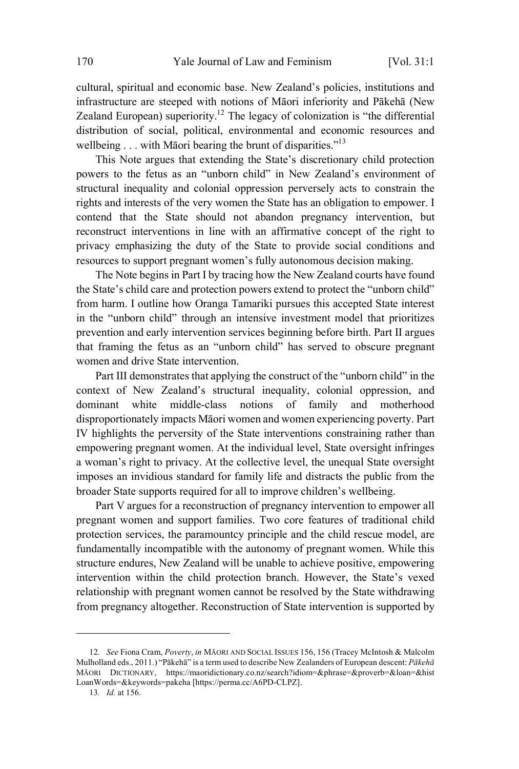cultural, spiritual and economic base. New Zealand's policies, institutions and infrastructure are steeped with notions of Māori inferiority and Pākehā (New Zealand European) superiority.<sup>12</sup> The legacy of colonization is "the differential distribution of social, political, environmental and economic resources and wellbeing  $\ldots$  with Māori bearing the brunt of disparities."<sup>13</sup>

This Note argues that extending the State's discretionary child protection powers to the fetus as an "unborn child" in New Zealand's environment of structural inequality and colonial oppression perversely acts to constrain the rights and interests of the very women the State has an obligation to empower. I contend that the State should not abandon pregnancy intervention, but reconstruct interventions in line with an affirmative concept of the right to privacy emphasizing the duty of the State to provide social conditions and resources to support pregnant women's fully autonomous decision making.

The Note begins in Part I by tracing how the New Zealand courts have found the State's child care and protection powers extend to protect the "unborn child" from harm. I outline how Oranga Tamariki pursues this accepted State interest in the "unborn child" through an intensive investment model that prioritizes prevention and early intervention services beginning before birth. Part II argues that framing the fetus as an "unborn child" has served to obscure pregnant women and drive State intervention.

Part III demonstrates that applying the construct of the "unborn child" in the context of New Zealand's structural inequality, colonial oppression, and dominant white middle-class notions of family and motherhood disproportionately impacts Māori women and women experiencing poverty. Part IV highlights the perversity of the State interventions constraining rather than empowering pregnant women. At the individual level, State oversight infringes a woman's right to privacy. At the collective level, the unequal State oversight imposes an invidious standard for family life and distracts the public from the broader State supports required for all to improve children's wellbeing.

Part V argues for a reconstruction of pregnancy intervention to empower all pregnant women and support families. Two core features of traditional child protection services, the paramountcy principle and the child rescue model, are fundamentally incompatible with the autonomy of pregnant women. While this structure endures, New Zealand will be unable to achieve positive, empowering intervention within the child protection branch. However, the State's vexed relationship with pregnant women cannot be resolved by the State withdrawing from pregnancy altogether. Reconstruction of State intervention is supported by

<sup>12</sup>*. See* Fiona Cram, *Poverty*, *in* MĀORI AND SOCIAL ISSUES 156, 156 (Tracey McIntosh & Malcolm Mulholland eds., 2011.) "Pākehā" is a term used to describe New Zealanders of European descent: *Pākehā* MĀORI DICTIONARY, https://maoridictionary.co.nz/search?idiom=&phrase=&proverb=&loan=&hist LoanWords=&keywords=pakeha [https://perma.cc/A6PD-CLPZ].

<sup>13</sup>*. Id.* at 156.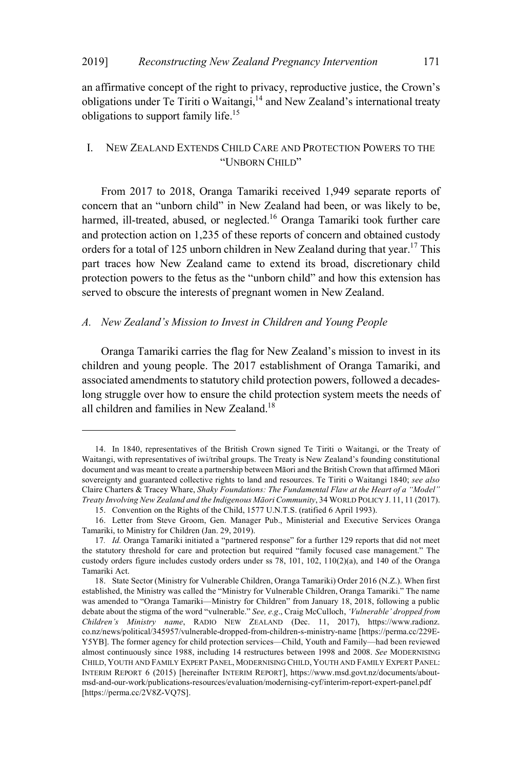#### 2019] *Reconstructing New Zealand Pregnancy Intervention* 171

an affirmative concept of the right to privacy, reproductive justice, the Crown's obligations under Te Tiriti o Waitangi, <sup>14</sup> and New Zealand's international treaty obligations to support family life.<sup>15</sup>

#### I. NEW ZEALAND EXTENDS CHILD CARE AND PROTECTION POWERS TO THE "UNBORN CHILD"

From 2017 to 2018, Oranga Tamariki received 1,949 separate reports of concern that an "unborn child" in New Zealand had been, or was likely to be, harmed, ill-treated, abused, or neglected.<sup>16</sup> Oranga Tamariki took further care and protection action on 1,235 of these reports of concern and obtained custody orders for a total of 125 unborn children in New Zealand during that year.<sup>17</sup> This part traces how New Zealand came to extend its broad, discretionary child protection powers to the fetus as the "unborn child" and how this extension has served to obscure the interests of pregnant women in New Zealand.

#### *A. New Zealand's Mission to Invest in Children and Young People*

Oranga Tamariki carries the flag for New Zealand's mission to invest in its children and young people. The 2017 establishment of Oranga Tamariki, and associated amendments to statutory child protection powers, followed a decadeslong struggle over how to ensure the child protection system meets the needs of all children and families in New Zealand.<sup>18</sup>

<sup>14.</sup> In 1840, representatives of the British Crown signed Te Tiriti o Waitangi, or the Treaty of Waitangi, with representatives of iwi/tribal groups. The Treaty is New Zealand's founding constitutional document and was meant to create a partnership between Māori and the British Crown that affirmed Māori sovereignty and guaranteed collective rights to land and resources. Te Tiriti o Waitangi 1840; *see also* Claire Charters & Tracey Whare, *Shaky Foundations: The Fundamental Flaw at the Heart of a "Model" Treaty Involving New Zealand and the Indigenous Māori Community*, 34 WORLD POLICY J. 11, 11 (2017).

<sup>15.</sup> Convention on the Rights of the Child, 1577 U.N.T.S. (ratified 6 April 1993).

<sup>16.</sup> Letter from Steve Groom, Gen. Manager Pub., Ministerial and Executive Services Oranga Tamariki, to Ministry for Children (Jan. 29, 2019).

<sup>17</sup>*. Id.* Oranga Tamariki initiated a "partnered response" for a further 129 reports that did not meet the statutory threshold for care and protection but required "family focused case management." The custody orders figure includes custody orders under ss 78, 101, 102, 110(2)(a), and 140 of the Oranga Tamariki Act.

<sup>18.</sup> State Sector (Ministry for Vulnerable Children, Oranga Tamariki) Order 2016 (N.Z.). When first established, the Ministry was called the "Ministry for Vulnerable Children, Oranga Tamariki." The name was amended to "Oranga Tamariki—Ministry for Children" from January 18, 2018, following a public debate about the stigma of the word "vulnerable." *See, e.g*., Craig McCulloch, *'Vulnerable' dropped from Children's Ministry name*, RADIO NEW ZEALAND (Dec. 11, 2017), https://www.radionz. co.nz/news/political/345957/vulnerable-dropped-from-children-s-ministry-name [https://perma.cc/229E-Y5YB]. The former agency for child protection services—Child, Youth and Family—had been reviewed almost continuously since 1988, including 14 restructures between 1998 and 2008. *See* MODERNISING CHILD, YOUTH AND FAMILY EXPERT PANEL, MODERNISING CHILD, YOUTH AND FAMILY EXPERT PANEL: INTERIM REPORT 6 (2015) [hereinafter INTERIM REPORT], https://www.msd.govt.nz/documents/aboutmsd-and-our-work/publications-resources/evaluation/modernising-cyf/interim-report-expert-panel.pdf [https://perma.cc/2V8Z-VQ7S].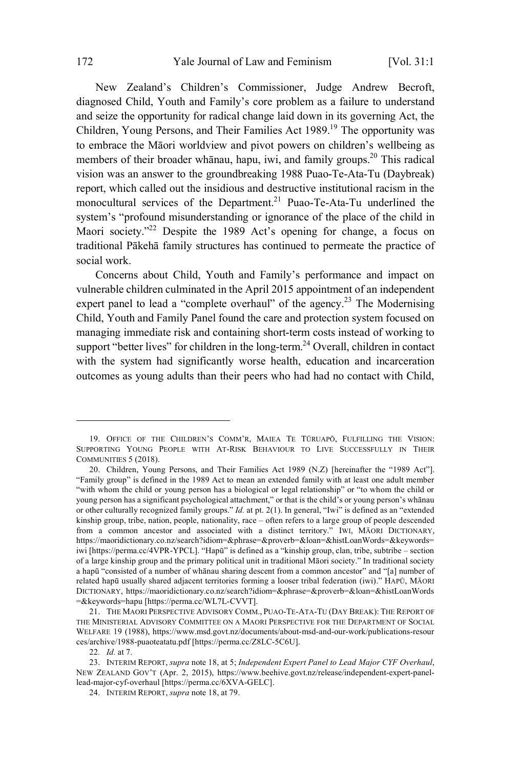New Zealand's Children's Commissioner, Judge Andrew Becroft, diagnosed Child, Youth and Family's core problem as a failure to understand and seize the opportunity for radical change laid down in its governing Act, the Children, Young Persons, and Their Families Act 1989.<sup>19</sup> The opportunity was to embrace the Māori worldview and pivot powers on children's wellbeing as members of their broader whānau, hapu, iwi, and family groups.<sup>20</sup> This radical vision was an answer to the groundbreaking 1988 Puao-Te-Ata-Tu (Daybreak) report, which called out the insidious and destructive institutional racism in the monocultural services of the Department.<sup>21</sup> Puao-Te-Ata-Tu underlined the system's "profound misunderstanding or ignorance of the place of the child in Maori society."<sup>22</sup> Despite the 1989 Act's opening for change, a focus on traditional Pākehā family structures has continued to permeate the practice of social work.

Concerns about Child, Youth and Family's performance and impact on vulnerable children culminated in the April 2015 appointment of an independent expert panel to lead a "complete overhaul" of the agency.<sup>23</sup> The Modernising Child, Youth and Family Panel found the care and protection system focused on managing immediate risk and containing short-term costs instead of working to support "better lives" for children in the long-term. $24$  Overall, children in contact with the system had significantly worse health, education and incarceration outcomes as young adults than their peers who had had no contact with Child,

<sup>19.</sup> OFFICE OF THE CHILDREN'S COMM'R, MAIEA TE TŪRUAPŌ, FULFILLING THE VISION: SUPPORTING YOUNG PEOPLE WITH AT-RISK BEHAVIOUR TO LIVE SUCCESSFULLY IN THEIR COMMUNITIES 5 (2018).

<sup>20.</sup> Children, Young Persons, and Their Families Act 1989 (N.Z) [hereinafter the "1989 Act"]. "Family group" is defined in the 1989 Act to mean an extended family with at least one adult member "with whom the child or young person has a biological or legal relationship" or "to whom the child or young person has a significant psychological attachment," or that is the child's or young person's whānau or other culturally recognized family groups." *Id.* at pt. 2(1). In general, "Iwi" is defined as an "extended kinship group, tribe, nation, people, nationality, race – often refers to a large group of people descended from a common ancestor and associated with a distinct territory." IWI, MĀORI DICTIONARY, https://maoridictionary.co.nz/search?idiom=&phrase=&proverb=&loan=&histLoanWords=&keywords= iwi [https://perma.cc/4VPR-YPCL]. "Hapū" is defined as a "kinship group, clan, tribe, subtribe – section of a large kinship group and the primary political unit in traditional Māori society." In traditional society a hapū "consisted of a number of whānau sharing descent from a common ancestor" and "[a] number of related hapū usually shared adjacent territories forming a looser tribal federation (iwi)." HAPŪ, MĀORI DICTIONARY, https://maoridictionary.co.nz/search?idiom=&phrase=&proverb=&loan=&histLoanWords =&keywords=hapu [https://perma.cc/WL7L-CVVT].

<sup>21.</sup> THE MAORI PERSPECTIVE ADVISORY COMM., PUAO-TE-ATA-TU (DAY BREAK): THE REPORT OF THE MINISTERIAL ADVISORY COMMITTEE ON A MAORI PERSPECTIVE FOR THE DEPARTMENT OF SOCIAL WELFARE 19 (1988), https://www.msd.govt.nz/documents/about-msd-and-our-work/publications-resour ces/archive/1988-puaoteatatu.pdf [https://perma.cc/Z8LC-5C6U].

<sup>22</sup>*. Id.* at 7.

<sup>23.</sup> INTERIM REPORT, *supra* note 18, at 5; *Independent Expert Panel to Lead Major CYF Overhaul*, NEW ZEALAND GOV'T (Apr. 2, 2015), https://www.beehive.govt.nz/release/independent-expert-panellead-major-cyf-overhaul [https://perma.cc/6XVA-GELC].

<sup>24.</sup> INTERIM REPORT, *supra* note 18, at 79.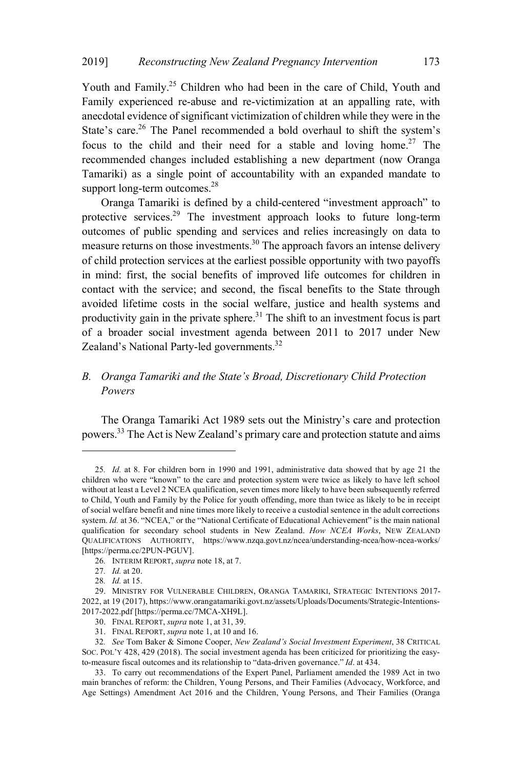Youth and Family.<sup>25</sup> Children who had been in the care of Child, Youth and Family experienced re-abuse and re-victimization at an appalling rate, with anecdotal evidence of significant victimization of children while they were in the State's care.<sup>26</sup> The Panel recommended a bold overhaul to shift the system's focus to the child and their need for a stable and loving home.<sup>27</sup> The recommended changes included establishing a new department (now Oranga Tamariki) as a single point of accountability with an expanded mandate to support long-term outcomes. $28$ 

Oranga Tamariki is defined by a child-centered "investment approach" to protective services.<sup>29</sup> The investment approach looks to future long-term outcomes of public spending and services and relies increasingly on data to measure returns on those investments.<sup>30</sup> The approach favors an intense delivery of child protection services at the earliest possible opportunity with two payoffs in mind: first, the social benefits of improved life outcomes for children in contact with the service; and second, the fiscal benefits to the State through avoided lifetime costs in the social welfare, justice and health systems and productivity gain in the private sphere.<sup>31</sup> The shift to an investment focus is part of a broader social investment agenda between 2011 to 2017 under New Zealand's National Party-led governments.<sup>32</sup>

# *B. Oranga Tamariki and the State's Broad, Discretionary Child Protection Powers*

The Oranga Tamariki Act 1989 sets out the Ministry's care and protection powers.<sup>33</sup> The Act is New Zealand's primary care and protection statute and aims

<sup>25</sup>*. Id.* at 8. For children born in 1990 and 1991, administrative data showed that by age 21 the children who were "known" to the care and protection system were twice as likely to have left school without at least a Level 2 NCEA qualification, seven times more likely to have been subsequently referred to Child, Youth and Family by the Police for youth offending, more than twice as likely to be in receipt of social welfare benefit and nine times more likely to receive a custodial sentence in the adult corrections system. *Id.* at 36. "NCEA," or the "National Certificate of Educational Achievement" is the main national qualification for secondary school students in New Zealand. *How NCEA Works*, NEW ZEALAND QUALIFICATIONS AUTHORITY, https://www.nzqa.govt.nz/ncea/understanding-ncea/how-ncea-works/ [https://perma.cc/2PUN-PGUV].

<sup>26</sup>*.* INTERIM REPORT, *supra* note 18, at 7.

<sup>27</sup>*. Id.* at 20.

<sup>28</sup>*. Id.* at 15.

<sup>29.</sup> MINISTRY FOR VULNERABLE CHILDREN, ORANGA TAMARIKI, STRATEGIC INTENTIONS 2017- 2022, at 19 (2017), https://www.orangatamariki.govt.nz/assets/Uploads/Documents/Strategic-Intentions-2017-2022.pdf [https://perma.cc/7MCA-XH9L].

<sup>30.</sup> FINAL REPORT, *supra* note 1, at 31, 39.

<sup>31.</sup> FINAL REPORT, *supra* note 1, at 10 and 16.

<sup>32</sup>*. See* Tom Baker & Simone Cooper, *New Zealand's Social Investment Experiment*, 38 CRITICAL SOC. POL'Y 428, 429 (2018). The social investment agenda has been criticized for prioritizing the easyto-measure fiscal outcomes and its relationship to "data-driven governance." *Id*. at 434.

<sup>33.</sup> To carry out recommendations of the Expert Panel, Parliament amended the 1989 Act in two main branches of reform: the Children, Young Persons, and Their Families (Advocacy, Workforce, and Age Settings) Amendment Act 2016 and the Children, Young Persons, and Their Families (Oranga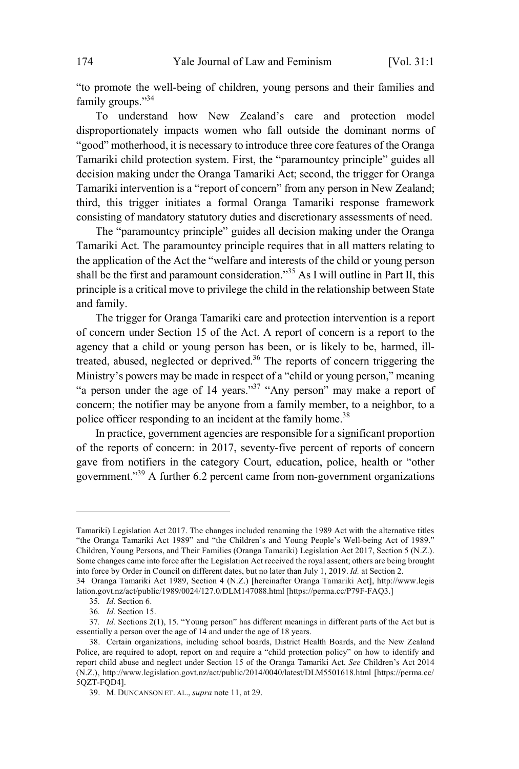"to promote the well-being of children, young persons and their families and family groups."<sup>34</sup>

To understand how New Zealand's care and protection model disproportionately impacts women who fall outside the dominant norms of "good" motherhood, it is necessary to introduce three core features of the Oranga Tamariki child protection system. First, the "paramountcy principle" guides all decision making under the Oranga Tamariki Act; second, the trigger for Oranga Tamariki intervention is a "report of concern" from any person in New Zealand; third, this trigger initiates a formal Oranga Tamariki response framework consisting of mandatory statutory duties and discretionary assessments of need.

The "paramountcy principle" guides all decision making under the Oranga Tamariki Act. The paramountcy principle requires that in all matters relating to the application of the Act the "welfare and interests of the child or young person shall be the first and paramount consideration."<sup>35</sup> As I will outline in Part II, this principle is a critical move to privilege the child in the relationship between State and family.

The trigger for Oranga Tamariki care and protection intervention is a report of concern under Section 15 of the Act. A report of concern is a report to the agency that a child or young person has been, or is likely to be, harmed, illtreated, abused, neglected or deprived. <sup>36</sup> The reports of concern triggering the Ministry's powers may be made in respect of a "child or young person," meaning "a person under the age of 14 years."<sup>37</sup> "Any person" may make a report of concern; the notifier may be anyone from a family member, to a neighbor, to a police officer responding to an incident at the family home.<sup>38</sup>

In practice, government agencies are responsible for a significant proportion of the reports of concern: in 2017, seventy-five percent of reports of concern gave from notifiers in the category Court, education, police, health or "other government."<sup>39</sup> A further 6.2 percent came from non-government organizations

Tamariki) Legislation Act 2017. The changes included renaming the 1989 Act with the alternative titles "the Oranga Tamariki Act 1989" and "the Children's and Young People's Well-being Act of 1989." Children, Young Persons, and Their Families (Oranga Tamariki) Legislation Act 2017, Section 5 (N.Z.). Some changes came into force after the Legislation Act received the royal assent; others are being brought into force by Order in Council on different dates, but no later than July 1, 2019. *Id.* at Section 2. 34 Oranga Tamariki Act 1989, Section 4 (N.Z.) [hereinafter Oranga Tamariki Act], http://www.legis

lation.govt.nz/act/public/1989/0024/127.0/DLM147088.html [https://perma.cc/P79F-FAQ3.]

<sup>35</sup>*. Id.* Section 6.

<sup>36</sup>*. Id.* Section 15.

<sup>37</sup>*. Id.* Sections 2(1), 15. "Young person" has different meanings in different parts of the Act but is essentially a person over the age of 14 and under the age of 18 years.

<sup>38.</sup> Certain organizations, including school boards, District Health Boards, and the New Zealand Police, are required to adopt, report on and require a "child protection policy" on how to identify and report child abuse and neglect under Section 15 of the Oranga Tamariki Act. *See* Children's Act 2014 (N.Z.), http://www.legislation.govt.nz/act/public/2014/0040/latest/DLM5501618.html [https://perma.cc/ 5QZT-FQD4].

<sup>39.</sup> M. DUNCANSON ET. AL., *supra* note 11, at 29.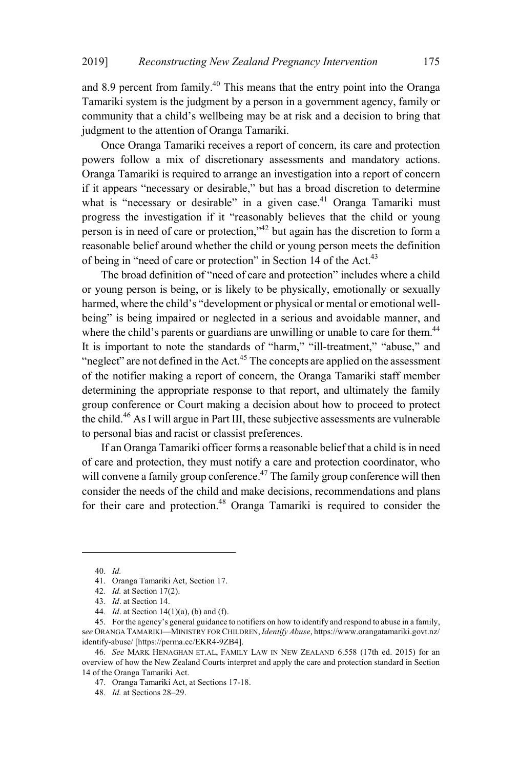and 8.9 percent from family.<sup>40</sup> This means that the entry point into the Oranga Tamariki system is the judgment by a person in a government agency, family or community that a child's wellbeing may be at risk and a decision to bring that judgment to the attention of Oranga Tamariki.

Once Oranga Tamariki receives a report of concern, its care and protection powers follow a mix of discretionary assessments and mandatory actions. Oranga Tamariki is required to arrange an investigation into a report of concern if it appears "necessary or desirable," but has a broad discretion to determine what is "necessary or desirable" in a given case.<sup>41</sup> Oranga Tamariki must progress the investigation if it "reasonably believes that the child or young person is in need of care or protection,"<sup>42</sup> but again has the discretion to form a reasonable belief around whether the child or young person meets the definition of being in "need of care or protection" in Section 14 of the Act.<sup>43</sup>

The broad definition of "need of care and protection" includes where a child or young person is being, or is likely to be physically, emotionally or sexually harmed, where the child's "development or physical or mental or emotional wellbeing" is being impaired or neglected in a serious and avoidable manner, and where the child's parents or guardians are unwilling or unable to care for them.<sup>44</sup> It is important to note the standards of "harm," "ill-treatment," "abuse," and "neglect" are not defined in the Act. $45$  The concepts are applied on the assessment of the notifier making a report of concern, the Oranga Tamariki staff member determining the appropriate response to that report, and ultimately the family group conference or Court making a decision about how to proceed to protect the child. <sup>46</sup> AsI will argue in Part III, these subjective assessments are vulnerable to personal bias and racist or classist preferences.

If an Oranga Tamariki officer forms a reasonable belief that a child is in need of care and protection, they must notify a care and protection coordinator, who will convene a family group conference.<sup>47</sup> The family group conference will then consider the needs of the child and make decisions, recommendations and plans for their care and protection.<sup>48</sup> Oranga Tamariki is required to consider the

<sup>40</sup>*. Id.*

<sup>41.</sup> Oranga Tamariki Act, Section 17.

<sup>42</sup>*. Id.* at Section 17(2).

<sup>43</sup>*. Id*. at Section 14.

<sup>44</sup>*. Id*. at Section 14(1)(a), (b) and (f).

<sup>45.</sup> For the agency's general guidance to notifiers on how to identify and respond to abuse in a family, s*ee* ORANGA TAMARIKI—MINISTRY FOR CHILDREN, *Identify Abuse*, https://www.orangatamariki.govt.nz/ identify-abuse/ [https://perma.cc/EKR4-9ZB4].

<sup>46</sup>*. See* MARK HENAGHAN ET.AL, FAMILY LAW IN NEW ZEALAND 6.558 (17th ed. 2015) for an overview of how the New Zealand Courts interpret and apply the care and protection standard in Section 14 of the Oranga Tamariki Act.

<sup>47.</sup> Oranga Tamariki Act, at Sections 17-18.

<sup>48</sup>*. Id.* at Sections 28–29.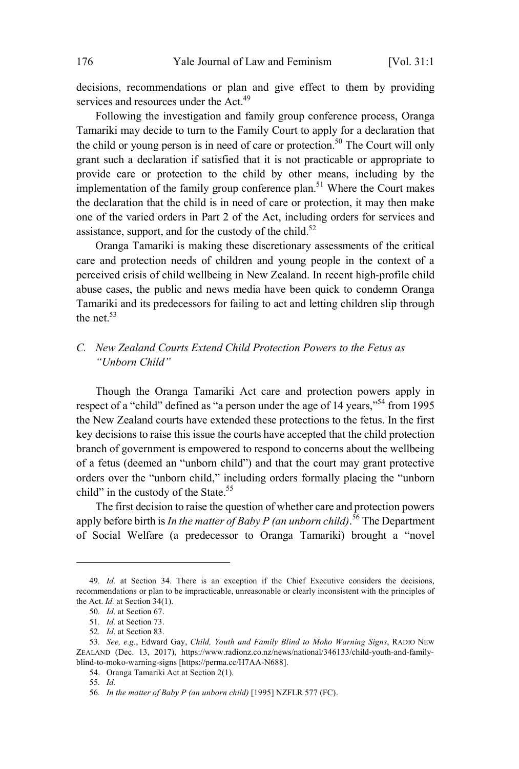decisions, recommendations or plan and give effect to them by providing services and resources under the Act.<sup>49</sup>

Following the investigation and family group conference process, Oranga Tamariki may decide to turn to the Family Court to apply for a declaration that the child or young person is in need of care or protection.<sup>50</sup> The Court will only grant such a declaration if satisfied that it is not practicable or appropriate to provide care or protection to the child by other means, including by the implementation of the family group conference plan.<sup>51</sup> Where the Court makes the declaration that the child is in need of care or protection, it may then make one of the varied orders in Part 2 of the Act, including orders for services and assistance, support, and for the custody of the child.<sup>52</sup>

Oranga Tamariki is making these discretionary assessments of the critical care and protection needs of children and young people in the context of a perceived crisis of child wellbeing in New Zealand. In recent high-profile child abuse cases, the public and news media have been quick to condemn Oranga Tamariki and its predecessors for failing to act and letting children slip through the net. $53$ 

# *C. New Zealand Courts Extend Child Protection Powers to the Fetus as "Unborn Child"*

Though the Oranga Tamariki Act care and protection powers apply in respect of a "child" defined as "a person under the age of 14 years,  $^{554}$  from 1995 the New Zealand courts have extended these protections to the fetus. In the first key decisions to raise this issue the courts have accepted that the child protection branch of government is empowered to respond to concerns about the wellbeing of a fetus (deemed an "unborn child") and that the court may grant protective orders over the "unborn child," including orders formally placing the "unborn child" in the custody of the State.<sup>55</sup>

The first decision to raise the question of whether care and protection powers apply before birth is *In the matter of Baby P (an unborn child)*. <sup>56</sup> The Department of Social Welfare (a predecessor to Oranga Tamariki) brought a "novel

<sup>49</sup>*. Id.* at Section 34. There is an exception if the Chief Executive considers the decisions, recommendations or plan to be impracticable, unreasonable or clearly inconsistent with the principles of the Act. *Id.* at Section 34(1).

<sup>50</sup>*. Id.* at Section 67.

<sup>51</sup>*. Id.* at Section 73.

<sup>52</sup>*. Id.* at Section 83.

<sup>53</sup>*. See, e.g.*, Edward Gay, *Child, Youth and Family Blind to Moko Warning Signs*, RADIO NEW ZEALAND (Dec. 13, 2017), https://www.radionz.co.nz/news/national/346133/child-youth-and-familyblind-to-moko-warning-signs [https://perma.cc/H7AA-N688].

<sup>54.</sup> Oranga Tamariki Act at Section 2(1).

<sup>55</sup>*. Id.*

<sup>56</sup>*. In the matter of Baby P (an unborn child)* [1995] NZFLR 577 (FC).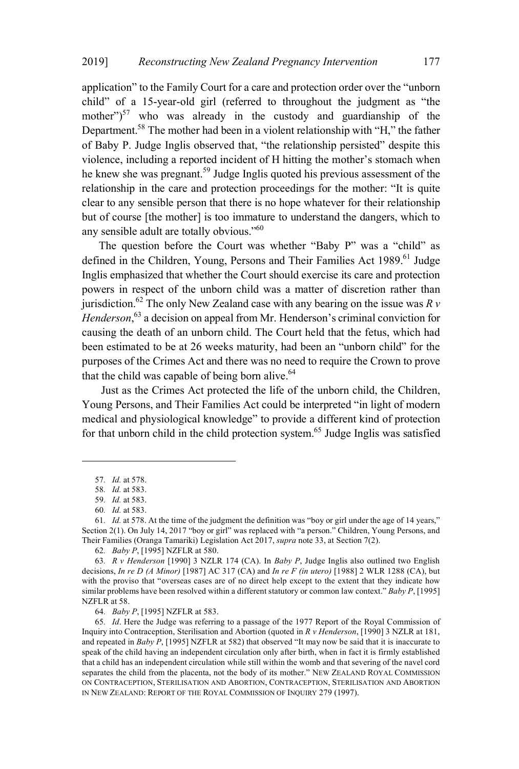application" to the Family Court for a care and protection order over the "unborn child" of a 15-year-old girl (referred to throughout the judgment as "the mother") $57$  who was already in the custody and guardianship of the Department.<sup>58</sup> The mother had been in a violent relationship with "H," the father of Baby P. Judge Inglis observed that, "the relationship persisted" despite this violence, including a reported incident of H hitting the mother's stomach when he knew she was pregnant.<sup>59</sup> Judge Inglis quoted his previous assessment of the relationship in the care and protection proceedings for the mother: "It is quite clear to any sensible person that there is no hope whatever for their relationship but of course [the mother] is too immature to understand the dangers, which to any sensible adult are totally obvious."<sup>60</sup>

The question before the Court was whether "Baby P" was a "child" as defined in the Children, Young, Persons and Their Families Act 1989.<sup>61</sup> Judge Inglis emphasized that whether the Court should exercise its care and protection powers in respect of the unborn child was a matter of discretion rather than jurisdiction.<sup>62</sup> The only New Zealand case with any bearing on the issue was  $R v$ *Henderson*, <sup>63</sup> a decision on appeal from Mr. Henderson's criminal conviction for causing the death of an unborn child. The Court held that the fetus, which had been estimated to be at 26 weeks maturity, had been an "unborn child" for the purposes of the Crimes Act and there was no need to require the Crown to prove that the child was capable of being born alive. $64$ 

Just as the Crimes Act protected the life of the unborn child, the Children, Young Persons, and Their Families Act could be interpreted "in light of modern medical and physiological knowledge" to provide a different kind of protection for that unborn child in the child protection system. <sup>65</sup> Judge Inglis was satisfied

<sup>57</sup>*. Id.* at 578.

<sup>58</sup>*. Id.* at 583.

<sup>59</sup>*. Id.* at 583.

<sup>60</sup>*. Id.* at 583.

<sup>61</sup>*. Id.* at 578. At the time of the judgment the definition was "boy or girl under the age of 14 years," Section 2(1). On July 14, 2017 "boy or girl" was replaced with "a person." Children, Young Persons, and Their Families (Oranga Tamariki) Legislation Act 2017, *supra* note 33, at Section 7(2).

<sup>62</sup>*. Baby P*, [1995] NZFLR at 580.

<sup>63</sup>*. R v Henderson* [1990] 3 NZLR 174 (CA). In *Baby P*, Judge Inglis also outlined two English decisions, *In re D (A Minor)* [1987] AC 317 (CA) and *In re F (in utero)* [1988] 2 WLR 1288 (CA), but with the proviso that "overseas cases are of no direct help except to the extent that they indicate how similar problems have been resolved within a different statutory or common law context." *Baby P*, [1995] NZFLR at 58.

<sup>64</sup>*. Baby P*, [1995] NZFLR at 583.

<sup>65</sup>*. Id*. Here the Judge was referring to a passage of the 1977 Report of the Royal Commission of Inquiry into Contraception, Sterilisation and Abortion (quoted in *R v Henderson*, [1990] 3 NZLR at 181, and repeated in *Baby P*, [1995] NZFLR at 582) that observed "It may now be said that it is inaccurate to speak of the child having an independent circulation only after birth, when in fact it is firmly established that a child has an independent circulation while still within the womb and that severing of the navel cord separates the child from the placenta, not the body of its mother." NEW ZEALAND ROYAL COMMISSION ON CONTRACEPTION, STERILISATION AND ABORTION, CONTRACEPTION, STERILISATION AND ABORTION IN NEW ZEALAND: REPORT OF THE ROYAL COMMISSION OF INQUIRY 279 (1997).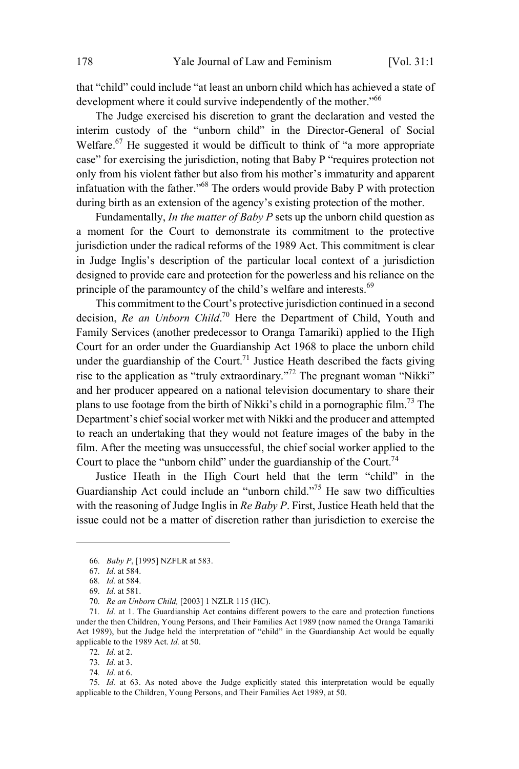that "child" could include "at least an unborn child which has achieved a state of development where it could survive independently of the mother.<sup>"66</sup>

The Judge exercised his discretion to grant the declaration and vested the interim custody of the "unborn child" in the Director-General of Social Welfare.<sup>67</sup> He suggested it would be difficult to think of "a more appropriate case" for exercising the jurisdiction, noting that Baby P "requires protection not only from his violent father but also from his mother's immaturity and apparent infatuation with the father."<sup>68</sup> The orders would provide Baby P with protection during birth as an extension of the agency's existing protection of the mother.

Fundamentally, *In the matter of Baby P* sets up the unborn child question as a moment for the Court to demonstrate its commitment to the protective jurisdiction under the radical reforms of the 1989 Act. This commitment is clear in Judge Inglis's description of the particular local context of a jurisdiction designed to provide care and protection for the powerless and his reliance on the principle of the paramountcy of the child's welfare and interests.<sup>69</sup>

This commitment to the Court's protective jurisdiction continued in a second decision, *Re an Unborn Child*. <sup>70</sup> Here the Department of Child, Youth and Family Services (another predecessor to Oranga Tamariki) applied to the High Court for an order under the Guardianship Act 1968 to place the unborn child under the guardianship of the Court.<sup>71</sup> Justice Heath described the facts giving rise to the application as "truly extraordinary." <sup>72</sup> The pregnant woman "Nikki" and her producer appeared on a national television documentary to share their plans to use footage from the birth of Nikki's child in a pornographic film.<sup>73</sup> The Department's chief social worker met with Nikki and the producer and attempted to reach an undertaking that they would not feature images of the baby in the film. After the meeting was unsuccessful, the chief social worker applied to the Court to place the "unborn child" under the guardianship of the Court.<sup>74</sup>

Justice Heath in the High Court held that the term "child" in the Guardianship Act could include an "unborn child."<sup>75</sup> He saw two difficulties with the reasoning of Judge Inglis in *Re Baby P*. First, Justice Heath held that the issue could not be a matter of discretion rather than jurisdiction to exercise the

<sup>66</sup>*. Baby P*, [1995] NZFLR at 583.

<sup>67</sup>*. Id.* at 584.

<sup>68</sup>*. Id.* at 584.

<sup>69</sup>*. Id.* at 581.

<sup>70</sup>*. Re an Unborn Child,* [2003] 1 NZLR 115 (HC).

<sup>71</sup>*. Id.* at 1. The Guardianship Act contains different powers to the care and protection functions under the then Children, Young Persons, and Their Families Act 1989 (now named the Oranga Tamariki Act 1989), but the Judge held the interpretation of "child" in the Guardianship Act would be equally applicable to the 1989 Act. *Id.* at 50.

<sup>72</sup>*. Id.* at 2.

<sup>73</sup>*. Id.* at 3.

<sup>74</sup>*. Id.* at 6.

<sup>75</sup>*. Id.* at 63. As noted above the Judge explicitly stated this interpretation would be equally applicable to the Children, Young Persons, and Their Families Act 1989, at 50.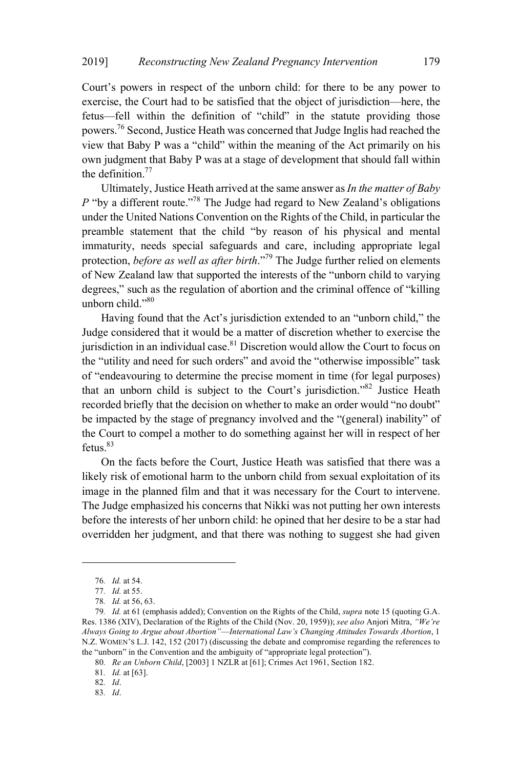Court's powers in respect of the unborn child: for there to be any power to exercise, the Court had to be satisfied that the object of jurisdiction—here, the fetus—fell within the definition of "child" in the statute providing those powers.<sup>76</sup> Second, Justice Heath was concerned that Judge Inglis had reached the view that Baby P was a "child" within the meaning of the Act primarily on his own judgment that Baby P was at a stage of development that should fall within the definition.<sup>77</sup>

Ultimately, Justice Heath arrived at the same answer as*In the matter of Baby P* "by a different route." <sup>78</sup> The Judge had regard to New Zealand's obligations under the United Nations Convention on the Rights of the Child, in particular the preamble statement that the child "by reason of his physical and mental immaturity, needs special safeguards and care, including appropriate legal protection, *before as well as after birth*."<sup>79</sup> The Judge further relied on elements of New Zealand law that supported the interests of the "unborn child to varying degrees," such as the regulation of abortion and the criminal offence of "killing unborn child."<sup>80</sup>

Having found that the Act's jurisdiction extended to an "unborn child," the Judge considered that it would be a matter of discretion whether to exercise the iurisdiction in an individual case.<sup>81</sup> Discretion would allow the Court to focus on the "utility and need for such orders" and avoid the "otherwise impossible" task of "endeavouring to determine the precise moment in time (for legal purposes) that an unborn child is subject to the Court's jurisdiction."<sup>82</sup> Justice Heath recorded briefly that the decision on whether to make an order would "no doubt" be impacted by the stage of pregnancy involved and the "(general) inability" of the Court to compel a mother to do something against her will in respect of her fetus. $83$ 

On the facts before the Court, Justice Heath was satisfied that there was a likely risk of emotional harm to the unborn child from sexual exploitation of its image in the planned film and that it was necessary for the Court to intervene. The Judge emphasized his concerns that Nikki was not putting her own interests before the interests of her unborn child: he opined that her desire to be a star had overridden her judgment, and that there was nothing to suggest she had given

81*. Id.* at [63].

82*. Id*.

<sup>76</sup>*. Id.* at 54.

<sup>77</sup>*. Id.* at 55.

<sup>78</sup>*. Id.* at 56, 63.

<sup>79</sup>*. Id.* at 61 (emphasis added); Convention on the Rights of the Child, *supra* note 15 (quoting G.A. Res. 1386 (XIV), Declaration of the Rights of the Child (Nov. 20, 1959)); *see also* Anjori Mitra, *"We're Always Going to Argue about Abortion"*—*International Law's Changing Attitudes Towards Abortion*, 1 N.Z. WOMEN'S L.J. 142, 152 (2017) (discussing the debate and compromise regarding the references to the "unborn" in the Convention and the ambiguity of "appropriate legal protection").

<sup>80</sup>*. Re an Unborn Child*, [2003] 1 NZLR at [61]; Crimes Act 1961, Section 182.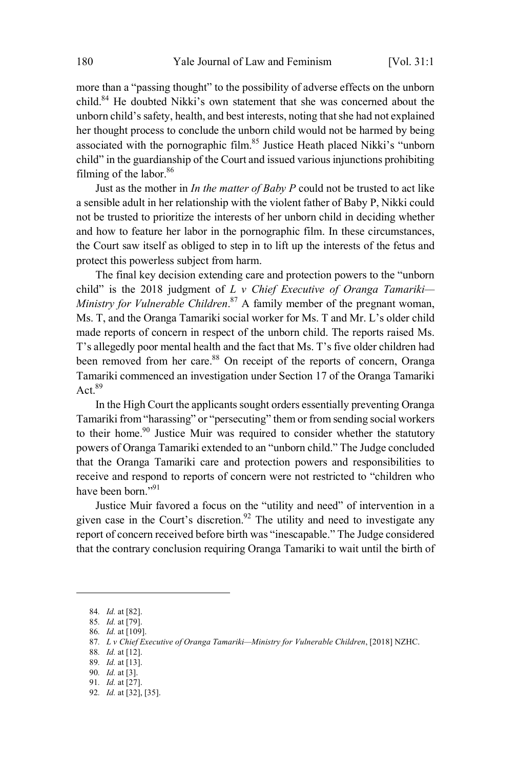more than a "passing thought" to the possibility of adverse effects on the unborn child.<sup>84</sup> He doubted Nikki's own statement that she was concerned about the unborn child's safety, health, and best interests, noting thatshe had not explained her thought process to conclude the unborn child would not be harmed by being associated with the pornographic film.<sup>85</sup> Justice Heath placed Nikki's "unborn child" in the guardianship of the Court and issued various injunctions prohibiting filming of the labor.<sup>86</sup>

Just as the mother in *In the matter of Baby P* could not be trusted to act like a sensible adult in her relationship with the violent father of Baby P, Nikki could not be trusted to prioritize the interests of her unborn child in deciding whether and how to feature her labor in the pornographic film. In these circumstances, the Court saw itself as obliged to step in to lift up the interests of the fetus and protect this powerless subject from harm.

The final key decision extending care and protection powers to the "unborn child" is the 2018 judgment of *L v Chief Executive of Oranga Tamariki— Ministry for Vulnerable Children*. <sup>87</sup> A family member of the pregnant woman, Ms. T, and the Oranga Tamariki social worker for Ms. T and Mr. L's older child made reports of concern in respect of the unborn child. The reports raised Ms. T's allegedly poor mental health and the fact that Ms. T's five older children had been removed from her care.<sup>88</sup> On receipt of the reports of concern. Oranga Tamariki commenced an investigation under Section 17 of the Oranga Tamariki Act. $89$ 

In the High Court the applicants sought orders essentially preventing Oranga Tamariki from"harassing" or "persecuting" them or from sending social workers to their home.<sup>90</sup> Justice Muir was required to consider whether the statutory powers of Oranga Tamariki extended to an "unborn child." The Judge concluded that the Oranga Tamariki care and protection powers and responsibilities to receive and respond to reports of concern were not restricted to "children who have been born."<sup>91</sup>

Justice Muir favored a focus on the "utility and need" of intervention in a given case in the Court's discretion.<sup>92</sup> The utility and need to investigate any report of concern received before birth was "inescapable." The Judge considered that the contrary conclusion requiring Oranga Tamariki to wait until the birth of

<sup>84</sup>*. Id.* at [82].

<sup>85</sup>*. Id.* at [79].

<sup>86</sup>*. Id.* at [109].

<sup>87</sup>*. L v Chief Executive of Oranga Tamariki—Ministry for Vulnerable Children*, [2018] NZHC.

<sup>88</sup>*. Id.* at [12].

<sup>89</sup>*. Id.* at [13]. 90*. Id.* at [3].

<sup>91</sup>*. Id.* at [27].

<sup>92</sup>*. Id.* at [32], [35].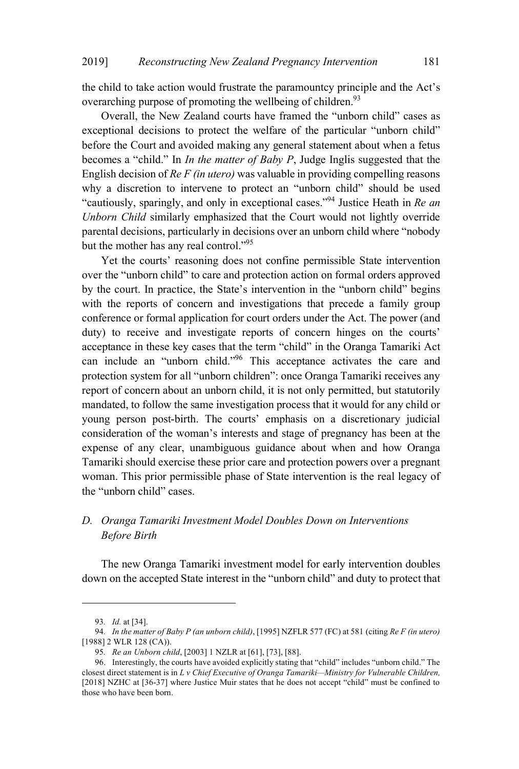the child to take action would frustrate the paramountcy principle and the Act's overarching purpose of promoting the wellbeing of children.<sup>93</sup>

Overall, the New Zealand courts have framed the "unborn child" cases as exceptional decisions to protect the welfare of the particular "unborn child" before the Court and avoided making any general statement about when a fetus becomes a "child." In *In the matter of Baby P*, Judge Inglis suggested that the English decision of *Re F (in utero)* was valuable in providing compelling reasons why a discretion to intervene to protect an "unborn child" should be used "cautiously, sparingly, and only in exceptional cases."<sup>94</sup> Justice Heath in *Re an Unborn Child* similarly emphasized that the Court would not lightly override parental decisions, particularly in decisions over an unborn child where "nobody but the mother has any real control."<sup>95</sup>

Yet the courts' reasoning does not confine permissible State intervention over the "unborn child" to care and protection action on formal orders approved by the court. In practice, the State's intervention in the "unborn child" begins with the reports of concern and investigations that precede a family group conference or formal application for court orders under the Act. The power (and duty) to receive and investigate reports of concern hinges on the courts' acceptance in these key cases that the term "child" in the Oranga Tamariki Act can include an "unborn child."<sup>96</sup> This acceptance activates the care and protection system for all "unborn children": once Oranga Tamariki receives any report of concern about an unborn child, it is not only permitted, but statutorily mandated, to follow the same investigation process that it would for any child or young person post-birth. The courts' emphasis on a discretionary judicial consideration of the woman's interests and stage of pregnancy has been at the expense of any clear, unambiguous guidance about when and how Oranga Tamariki should exercise these prior care and protection powers over a pregnant woman. This prior permissible phase of State intervention is the real legacy of the "unborn child" cases.

# *D. Oranga Tamariki Investment Model Doubles Down on Interventions Before Birth*

The new Oranga Tamariki investment model for early intervention doubles down on the accepted State interest in the "unborn child" and duty to protect that

<sup>93</sup>*. Id.* at [34].

<sup>94</sup>*. In the matter of Baby P (an unborn child)*, [1995] NZFLR 577 (FC) at 581 (citing *Re F (in utero)* [1988] 2 WLR 128 (CA)).

<sup>95</sup>*. Re an Unborn child*, [2003] 1 NZLR at [61], [73], [88].

<sup>96.</sup> Interestingly, the courts have avoided explicitly stating that "child" includes "unborn child." The closest direct statement is in *L v Chief Executive of Oranga Tamariki—Ministry for Vulnerable Children,* [2018] NZHC at [36-37] where Justice Muir states that he does not accept "child" must be confined to those who have been born.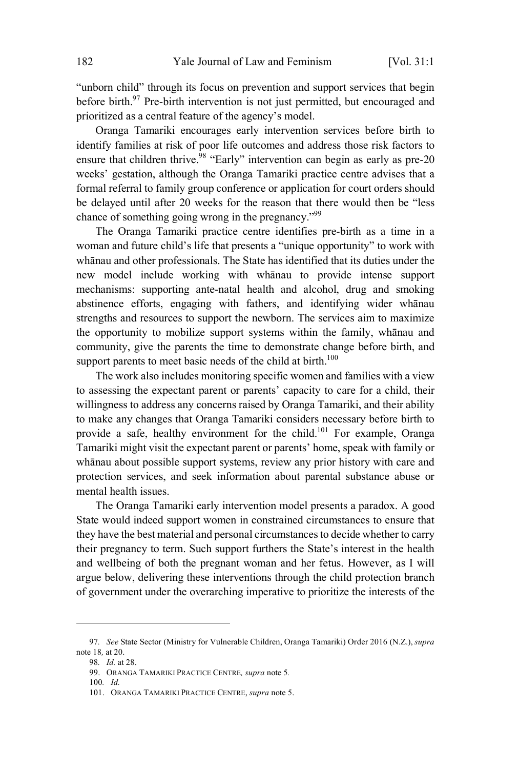"unborn child" through its focus on prevention and support services that begin before birth.<sup>97</sup> Pre-birth intervention is not just permitted, but encouraged and prioritized as a central feature of the agency's model.

Oranga Tamariki encourages early intervention services before birth to identify families at risk of poor life outcomes and address those risk factors to ensure that children thrive.<sup>98</sup> "Early" intervention can begin as early as pre-20 weeks' gestation, although the Oranga Tamariki practice centre advises that a formal referral to family group conference or application for court orders should be delayed until after 20 weeks for the reason that there would then be "less chance of something going wrong in the pregnancy."<sup>99</sup>

The Oranga Tamariki practice centre identifies pre-birth as a time in a woman and future child's life that presents a "unique opportunity" to work with whānau and other professionals. The State has identified that its duties under the new model include working with whānau to provide intense support mechanisms: supporting ante-natal health and alcohol, drug and smoking abstinence efforts, engaging with fathers, and identifying wider whānau strengths and resources to support the newborn. The services aim to maximize the opportunity to mobilize support systems within the family, whānau and community, give the parents the time to demonstrate change before birth, and support parents to meet basic needs of the child at birth.<sup>100</sup>

The work also includes monitoring specific women and families with a view to assessing the expectant parent or parents' capacity to care for a child, their willingness to address any concerns raised by Oranga Tamariki, and their ability to make any changes that Oranga Tamariki considers necessary before birth to provide a safe, healthy environment for the child.<sup>101</sup> For example, Oranga Tamariki might visit the expectant parent or parents' home, speak with family or whānau about possible support systems, review any prior history with care and protection services, and seek information about parental substance abuse or mental health issues.

The Oranga Tamariki early intervention model presents a paradox. A good State would indeed support women in constrained circumstances to ensure that they have the best material and personal circumstances to decide whether to carry their pregnancy to term. Such support furthers the State's interest in the health and wellbeing of both the pregnant woman and her fetus. However, as I will argue below, delivering these interventions through the child protection branch of government under the overarching imperative to prioritize the interests of the

<sup>97</sup>*. See* State Sector (Ministry for Vulnerable Children, Oranga Tamariki) Order 2016 (N.Z.), *supra* note 18*,* at 20.

<sup>98</sup>*. Id.* at 28.

<sup>99.</sup> ORANGA TAMARIKI PRACTICE CENTRE*, supra* note 5*.*

<sup>100</sup>*. Id.*

<sup>101.</sup> ORANGA TAMARIKI PRACTICE CENTRE, *supra* note 5.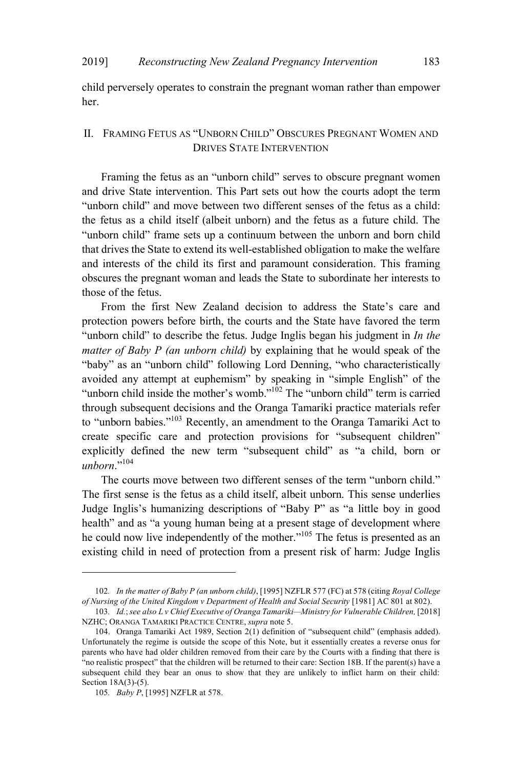child perversely operates to constrain the pregnant woman rather than empower her.

## II. FRAMING FETUS AS "UNBORN CHILD" OBSCURES PREGNANT WOMEN AND DRIVES STATE INTERVENTION

Framing the fetus as an "unborn child" serves to obscure pregnant women and drive State intervention. This Part sets out how the courts adopt the term "unborn child" and move between two different senses of the fetus as a child: the fetus as a child itself (albeit unborn) and the fetus as a future child. The "unborn child" frame sets up a continuum between the unborn and born child that drives the State to extend its well-established obligation to make the welfare and interests of the child its first and paramount consideration. This framing obscures the pregnant woman and leads the State to subordinate her interests to those of the fetus.

From the first New Zealand decision to address the State's care and protection powers before birth, the courts and the State have favored the term "unborn child" to describe the fetus. Judge Inglis began his judgment in *In the matter of Baby P (an unborn child)* by explaining that he would speak of the "baby" as an "unborn child" following Lord Denning, "who characteristically avoided any attempt at euphemism" by speaking in "simple English" of the "unborn child inside the mother's womb."<sup>102</sup> The "unborn child" term is carried through subsequent decisions and the Oranga Tamariki practice materials refer to "unborn babies."<sup>103</sup> Recently, an amendment to the Oranga Tamariki Act to create specific care and protection provisions for "subsequent children" explicitly defined the new term "subsequent child" as "a child, born or  $unborn.$ <sup>104</sup>

The courts move between two different senses of the term "unborn child." The first sense is the fetus as a child itself, albeit unborn. This sense underlies Judge Inglis's humanizing descriptions of "Baby P" as "a little boy in good health" and as "a young human being at a present stage of development where he could now live independently of the mother."<sup>105</sup> The fetus is presented as an existing child in need of protection from a present risk of harm: Judge Inglis

<sup>102</sup>*. In the matter of Baby P (an unborn child)*, [1995] NZFLR 577 (FC) at 578 (citing *Royal College of Nursing of the United Kingdom v Department of Health and Social Security* [1981] AC 801 at 802).

<sup>103</sup>*. Id.*;*see also L v Chief Executive of Oranga Tamariki—Ministry for Vulnerable Children,* [2018] NZHC; ORANGA TAMARIKI PRACTICE CENTRE, *supra* note 5.

<sup>104.</sup> Oranga Tamariki Act 1989, Section 2(1) definition of "subsequent child" (emphasis added). Unfortunately the regime is outside the scope of this Note, but it essentially creates a reverse onus for parents who have had older children removed from their care by the Courts with a finding that there is "no realistic prospect" that the children will be returned to their care: Section 18B. If the parent(s) have a subsequent child they bear an onus to show that they are unlikely to inflict harm on their child: Section 18A(3)-(5).

<sup>105</sup>*. Baby P*, [1995] NZFLR at 578.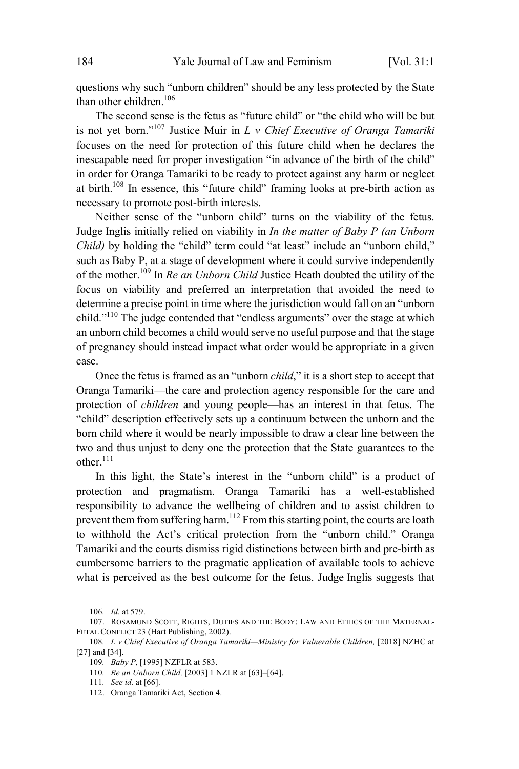questions why such "unborn children" should be any less protected by the State than other children.<sup>106</sup>

The second sense is the fetus as "future child" or "the child who will be but is not yet born."<sup>107</sup> Justice Muir in *<sup>L</sup> <sup>v</sup> Chief Executive of Oranga Tamariki* focuses on the need for protection of this future child when he declares the inescapable need for proper investigation "in advance of the birth of the child" in order for Oranga Tamariki to be ready to protect against any harm or neglect at birth.<sup>108</sup> In essence, this "future child" framing looks at pre-birth action as necessary to promote post-birth interests.

Neither sense of the "unborn child" turns on the viability of the fetus. Judge Inglis initially relied on viability in *In the matter of Baby P (an Unborn Child*) by holding the "child" term could "at least" include an "unborn child," such as Baby P, at a stage of development where it could survive independently of the mother. <sup>109</sup> In *Re an Unborn Child* Justice Heath doubted the utility of the focus on viability and preferred an interpretation that avoided the need to determine a precise point in time where the jurisdiction would fall on an "unborn child."<sup>110</sup> The judge contended that "endless arguments" over the stage at which an unborn child becomes a child would serve no useful purpose and that the stage of pregnancy should instead impact what order would be appropriate in a given case.

Once the fetus is framed as an "unborn *child*," it is a short step to accept that Oranga Tamariki—the care and protection agency responsible for the care and protection of *children* and young people—has an interest in that fetus. The "child" description effectively sets up a continuum between the unborn and the born child where it would be nearly impossible to draw a clear line between the two and thus unjust to deny one the protection that the State guarantees to the other.<sup>111</sup>

In this light, the State's interest in the "unborn child" is a product of protection and pragmatism. Oranga Tamariki has a well-established responsibility to advance the wellbeing of children and to assist children to prevent them from suffering harm.<sup>112</sup> From this starting point, the courts are loath to withhold the Act's critical protection from the "unborn child." Oranga Tamariki and the courts dismiss rigid distinctions between birth and pre-birth as cumbersome barriers to the pragmatic application of available tools to achieve what is perceived as the best outcome for the fetus. Judge Inglis suggests that

<sup>106</sup>*. Id.* at 579.

<sup>107.</sup> ROSAMUND SCOTT, RIGHTS, DUTIES AND THE BODY: LAW AND ETHICS OF THE MATERNAL-FETAL CONFLICT 23 (Hart Publishing, 2002).

<sup>108</sup>*. L v Chief Executive of Oranga Tamariki—Ministry for Vulnerable Children,* [2018] NZHC at [27] and [34].

<sup>109</sup>*. Baby P*, [1995] NZFLR at 583.

<sup>110</sup>*. Re an Unborn Child,* [2003] 1 NZLR at [63]–[64].

<sup>111</sup>*. See id.* at [66].

<sup>112.</sup> Oranga Tamariki Act, Section 4.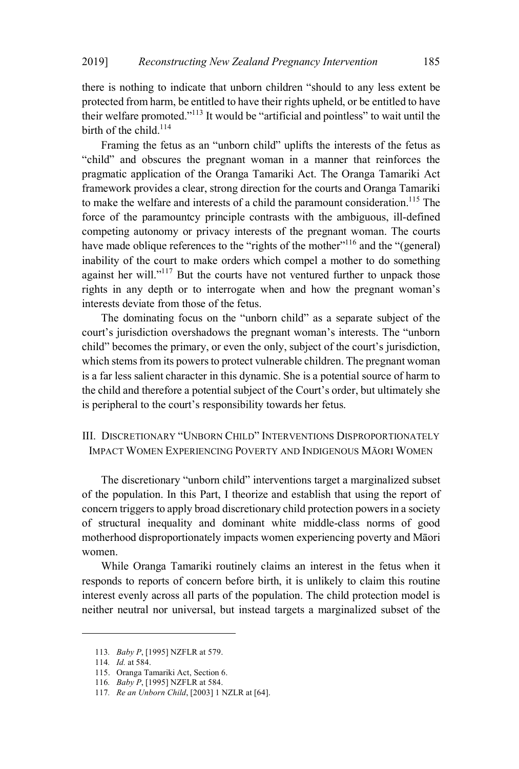there is nothing to indicate that unborn children "should to any less extent be protected from harm, be entitled to have their rights upheld, or be entitled to have their welfare promoted."<sup>113</sup> It would be "artificial and pointless" to wait until the birth of the child.<sup>114</sup>

Framing the fetus as an "unborn child" uplifts the interests of the fetus as "child" and obscures the pregnant woman in a manner that reinforces the pragmatic application of the Oranga Tamariki Act. The Oranga Tamariki Act framework provides a clear, strong direction for the courts and Oranga Tamariki to make the welfare and interests of a child the paramount consideration.<sup>115</sup> The force of the paramountcy principle contrasts with the ambiguous, ill-defined competing autonomy or privacy interests of the pregnant woman. The courts have made oblique references to the "rights of the mother"  $116$  and the "(general) inability of the court to make orders which compel a mother to do something against her will."<sup>117</sup> But the courts have not ventured further to unpack those rights in any depth or to interrogate when and how the pregnant woman's interests deviate from those of the fetus.

The dominating focus on the "unborn child" as a separate subject of the court's jurisdiction overshadows the pregnant woman's interests. The "unborn child" becomes the primary, or even the only, subject of the court's jurisdiction, which stems from its powers to protect vulnerable children. The pregnant woman is a far less salient character in this dynamic. She is a potential source of harm to the child and therefore a potential subject of the Court's order, but ultimately she is peripheral to the court's responsibility towards her fetus.

# III. DISCRETIONARY "UNBORN CHILD" INTERVENTIONS DISPROPORTIONATELY IMPACT WOMEN EXPERIENCING POVERTY AND INDIGENOUS MĀORI WOMEN

The discretionary "unborn child" interventions target a marginalized subset of the population. In this Part, I theorize and establish that using the report of concern triggers to apply broad discretionary child protection powers in a society of structural inequality and dominant white middle-class norms of good motherhood disproportionately impacts women experiencing poverty and Māori women.

While Oranga Tamariki routinely claims an interest in the fetus when it responds to reports of concern before birth, it is unlikely to claim this routine interest evenly across all parts of the population. The child protection model is neither neutral nor universal, but instead targets a marginalized subset of the

<sup>113</sup>*. Baby P*, [1995] NZFLR at 579.

<sup>114</sup>*. Id.* at 584.

<sup>115.</sup> Oranga Tamariki Act, Section 6.

<sup>116</sup>*. Baby P*, [1995] NZFLR at 584.

<sup>117</sup>*. Re an Unborn Child*, [2003] 1 NZLR at [64].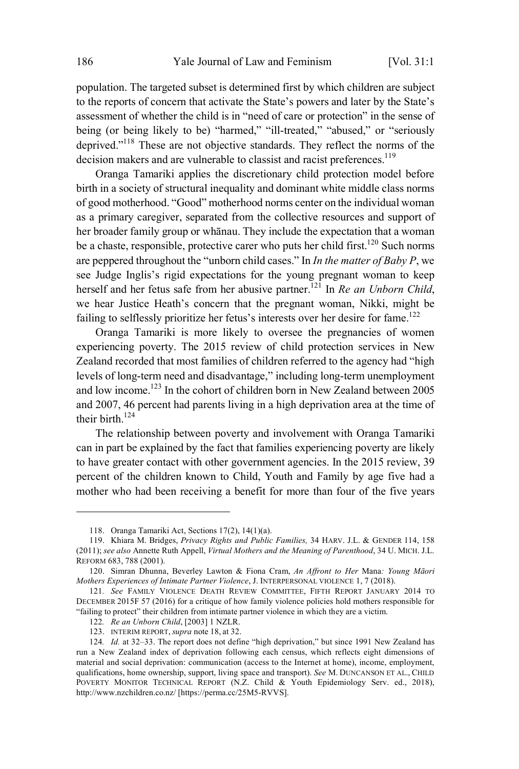population. The targeted subset is determined first by which children are subject to the reports of concern that activate the State's powers and later by the State's assessment of whether the child is in "need of care or protection" in the sense of being (or being likely to be) "harmed," "ill-treated," "abused," or "seriously deprived."<sup>118</sup> These are not objective standards. They reflect the norms of the decision makers and are vulnerable to classist and racist preferences.<sup>119</sup>

Oranga Tamariki applies the discretionary child protection model before birth in a society of structural inequality and dominant white middle class norms of good motherhood. "Good" motherhood norms center on the individual woman as a primary caregiver, separated from the collective resources and support of her broader family group or whānau. They include the expectation that a woman be a chaste, responsible, protective carer who puts her child first.<sup>120</sup> Such norms are peppered throughout the "unborn child cases." In *In the matter of Baby P*, we see Judge Inglis's rigid expectations for the young pregnant woman to keep herself and her fetus safe from her abusive partner.<sup>121</sup> In *Re an Unborn Child*, we hear Justice Heath's concern that the pregnant woman, Nikki, might be failing to selflessly prioritize her fetus's interests over her desire for fame.<sup>122</sup>

Oranga Tamariki is more likely to oversee the pregnancies of women experiencing poverty. The 2015 review of child protection services in New Zealand recorded that most families of children referred to the agency had "high levels of long-term need and disadvantage," including long-term unemployment and low income. <sup>123</sup> In the cohort of children born in New Zealand between 2005 and 2007, 46 percent had parents living in a high deprivation area at the time of their birth.<sup>124</sup>

The relationship between poverty and involvement with Oranga Tamariki can in part be explained by the fact that families experiencing poverty are likely to have greater contact with other government agencies. In the 2015 review, 39 percent of the children known to Child, Youth and Family by age five had a mother who had been receiving a benefit for more than four of the five years

<sup>118.</sup> Oranga Tamariki Act, Sections 17(2), 14(1)(a).

<sup>119.</sup> Khiara M. Bridges, *Privacy Rights and Public Families,* 34 HARV. J.L. & GENDER 114, 158 (2011); *see also* Annette Ruth Appell, *Virtual Mothers and the Meaning of Parenthood*, 34 U. MICH. J.L. REFORM 683, 788 (2001).

<sup>120.</sup> Simran Dhunna, Beverley Lawton & Fiona Cram, *An Affront to Her* Mana*: Young Māori Mothers Experiences of Intimate Partner Violence*, J. INTERPERSONAL VIOLENCE 1, 7 (2018).

<sup>121</sup>*. See* FAMILY VIOLENCE DEATH REVIEW COMMITTEE, FIFTH REPORT JANUARY 2014 TO DECEMBER 2015F 57 (2016) for a critique of how family violence policies hold mothers responsible for "failing to protect" their children from intimate partner violence in which they are a victim.

<sup>122</sup>*. Re an Unborn Child*, [2003] 1 NZLR.

<sup>123.</sup> INTERIM REPORT, *supra* note 18, at 32.

<sup>124</sup>*. Id.* at 32–33. The report does not define "high deprivation," but since 1991 New Zealand has run a New Zealand index of deprivation following each census, which reflects eight dimensions of material and social deprivation: communication (access to the Internet at home), income, employment, qualifications, home ownership, support, living space and transport). *See* M. DUNCANSON ET AL., CHILD POVERTY MONITOR TECHNICAL REPORT (N.Z. Child & Youth Epidemiology Serv. ed., 2018), http://www.nzchildren.co.nz/ [https://perma.cc/25M5-RVVS].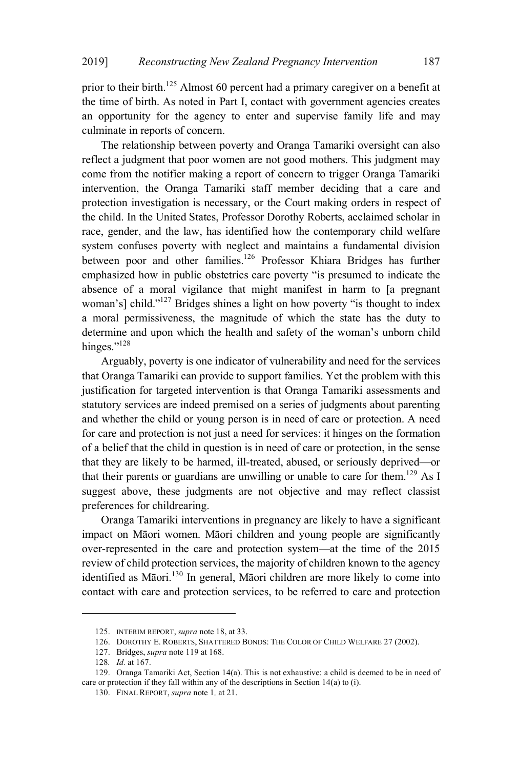prior to their birth.<sup>125</sup> Almost 60 percent had a primary caregiver on a benefit at the time of birth. As noted in Part I, contact with government agencies creates an opportunity for the agency to enter and supervise family life and may culminate in reports of concern.

The relationship between poverty and Oranga Tamariki oversight can also reflect a judgment that poor women are not good mothers. This judgment may come from the notifier making a report of concern to trigger Oranga Tamariki intervention, the Oranga Tamariki staff member deciding that a care and protection investigation is necessary, or the Court making orders in respect of the child. In the United States, Professor Dorothy Roberts, acclaimed scholar in race, gender, and the law, has identified how the contemporary child welfare system confuses poverty with neglect and maintains a fundamental division between poor and other families.<sup>126</sup> Professor Khiara Bridges has further emphasized how in public obstetrics care poverty "is presumed to indicate the absence of a moral vigilance that might manifest in harm to [a pregnant woman's] child."<sup>127</sup> Bridges shines a light on how poverty "is thought to index a moral permissiveness, the magnitude of which the state has the duty to determine and upon which the health and safety of the woman's unborn child hinges."<sup>128</sup>

Arguably, poverty is one indicator of vulnerability and need for the services that Oranga Tamariki can provide to support families. Yet the problem with this justification for targeted intervention is that Oranga Tamariki assessments and statutory services are indeed premised on a series of judgments about parenting and whether the child or young person is in need of care or protection. A need for care and protection is not just a need for services: it hinges on the formation of a belief that the child in question is in need of care or protection, in the sense that they are likely to be harmed, ill-treated, abused, or seriously deprived—or that their parents or guardians are unwilling or unable to care for them.<sup>129</sup> As I suggest above, these judgments are not objective and may reflect classist preferences for childrearing.

Oranga Tamariki interventions in pregnancy are likely to have a significant impact on Māori women. Māori children and young people are significantly over-represented in the care and protection system—at the time of the 2015 review of child protection services, the majority of children known to the agency identified as Māori.<sup>130</sup> In general, Māori children are more likely to come into contact with care and protection services, to be referred to care and protection

<sup>125.</sup> INTERIM REPORT, *supra* note 18, at 33.

<sup>126.</sup> DOROTHY E. ROBERTS, SHATTERED BONDS: THE COLOR OF CHILD WELFARE 27 (2002).

<sup>127.</sup> Bridges, *supra* note 119 at 168.

<sup>128</sup>*. Id.* at 167.

<sup>129.</sup> Oranga Tamariki Act, Section 14(a). This is not exhaustive: a child is deemed to be in need of care or protection if they fall within any of the descriptions in Section 14(a) to (i).

<sup>130.</sup> FINAL REPORT, *supra* note 1*,* at 21.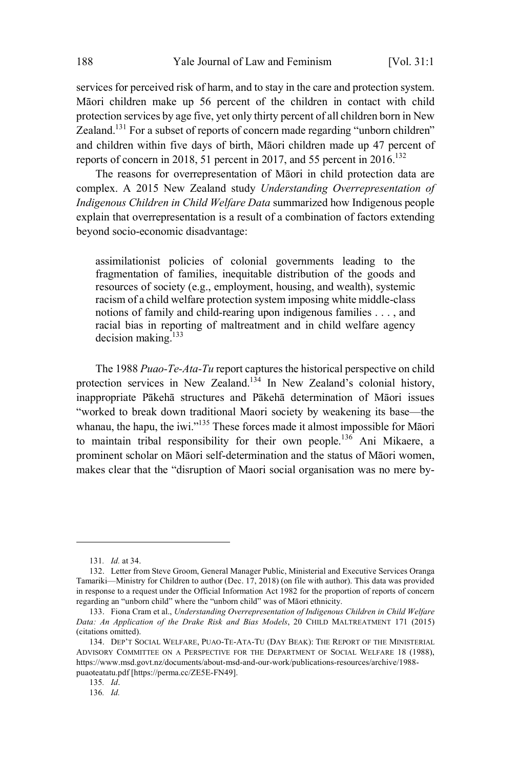services for perceived risk of harm, and to stay in the care and protection system. Māori children make up 56 percent of the children in contact with child protection services by age five, yet only thirty percent of all children born in New Zealand.<sup>131</sup> For a subset of reports of concern made regarding "unborn children" and children within five days of birth, Māori children made up 47 percent of reports of concern in 2018, 51 percent in 2017, and 55 percent in 2016.<sup>132</sup>

The reasons for overrepresentation of Māori in child protection data are complex. A 2015 New Zealand study *Understanding Overrepresentation of Indigenous Children in Child Welfare Data* summarized how Indigenous people explain that overrepresentation is a result of a combination of factors extending beyond socio-economic disadvantage:

assimilationist policies of colonial governments leading to the fragmentation of families, inequitable distribution of the goods and resources of society (e.g., employment, housing, and wealth), systemic racism of a child welfare protection system imposing white middle-class notions of family and child-rearing upon indigenous families . . . , and racial bias in reporting of maltreatment and in child welfare agency decision making. $133$ 

The 1988 *Puao-Te-Ata-Tu* report captures the historical perspective on child protection services in New Zealand.<sup>134</sup> In New Zealand's colonial history, inappropriate Pākehā structures and Pākehā determination of Māori issues "worked to break down traditional Maori society by weakening its base—the whanau, the hapu, the iwi."<sup>135</sup> These forces made it almost impossible for Māori to maintain tribal responsibility for their own people.<sup>136</sup> Ani Mikaere, a prominent scholar on Māori self-determination and the status of Māori women, makes clear that the "disruption of Maori social organisation was no mere by-

<sup>131</sup>*. Id.* at 34.

<sup>132.</sup> Letter from Steve Groom, General Manager Public, Ministerial and Executive Services Oranga Tamariki—Ministry for Children to author (Dec. 17, 2018) (on file with author). This data was provided in response to a request under the Official Information Act 1982 for the proportion of reports of concern regarding an "unborn child" where the "unborn child" was of Māori ethnicity.

<sup>133.</sup> Fiona Cram et al., *Understanding Overrepresentation of Indigenous Children in Child Welfare Data: An Application of the Drake Risk and Bias Models*, 20 CHILD MALTREATMENT 171 (2015) (citations omitted).

<sup>134.</sup> DEP'T SOCIAL WELFARE, PUAO-TE-ATA-TU (DAY BEAK): THE REPORT OF THE MINISTERIAL ADVISORY COMMITTEE ON A PERSPECTIVE FOR THE DEPARTMENT OF SOCIAL WELFARE 18 (1988), https://www.msd.govt.nz/documents/about-msd-and-our-work/publications-resources/archive/1988 puaoteatatu.pdf [https://perma.cc/ZE5E-FN49].

<sup>135</sup>*. Id*.

<sup>136</sup>*. Id.*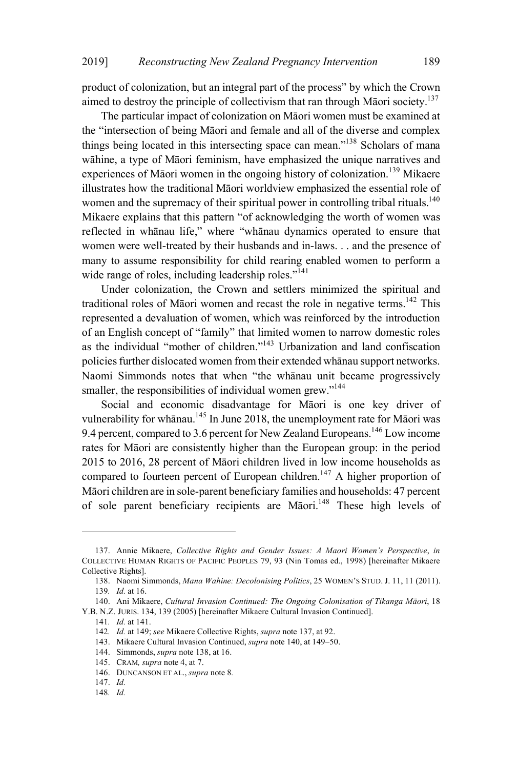product of colonization, but an integral part of the process" by which the Crown aimed to destroy the principle of collectivism that ran through Māori society.<sup>137</sup>

The particular impact of colonization on Māori women must be examined at the "intersection of being Māori and female and all of the diverse and complex things being located in this intersecting space can mean."<sup>138</sup> Scholars of mana wāhine, a type of Māori feminism, have emphasized the unique narratives and experiences of Māori women in the ongoing history of colonization.<sup>139</sup> Mikaere illustrates how the traditional Māori worldview emphasized the essential role of women and the supremacy of their spiritual power in controlling tribal rituals.<sup>140</sup> Mikaere explains that this pattern "of acknowledging the worth of women was reflected in whānau life," where "whānau dynamics operated to ensure that women were well-treated by their husbands and in-laws. . . and the presence of many to assume responsibility for child rearing enabled women to perform a wide range of roles, including leadership roles."<sup>141</sup>

Under colonization, the Crown and settlers minimized the spiritual and traditional roles of Māori women and recast the role in negative terms.<sup>142</sup> This represented a devaluation of women, which was reinforced by the introduction of an English concept of "family" that limited women to narrow domestic roles as the individual "mother of children."<sup>143</sup> Urbanization and land confiscation policies further dislocated women from their extended whānau support networks. Naomi Simmonds notes that when "the whānau unit became progressively smaller, the responsibilities of individual women grew."<sup>144</sup>

Social and economic disadvantage for Māori is one key driver of vulnerability for whānau.<sup>145</sup> In June 2018, the unemployment rate for Māori was 9.4 percent, compared to 3.6 percent for New Zealand Europeans.<sup>146</sup> Low income rates for Māori are consistently higher than the European group: in the period 2015 to 2016, 28 percent of Māori children lived in low income households as compared to fourteen percent of European children.<sup>147</sup> A higher proportion of Māori children are in sole-parent beneficiary families and households: 47 percent of sole parent beneficiary recipients are Māori.<sup>148</sup> These high levels of

<sup>137.</sup> Annie Mikaere, *Collective Rights and Gender Issues: A Maori Women's Perspective*, *in* COLLECTIVE HUMAN RIGHTS OF PACIFIC PEOPLES 79, 93 (Nin Tomas ed., 1998) [hereinafter Mikaere Collective Rights].

<sup>138.</sup> Naomi Simmonds, *Mana Wahine: Decolonising Politics*, 25 WOMEN'<sup>S</sup> STUD. J. 11, 11 (2011). 139*. Id.* at 16.

<sup>140.</sup> Ani Mikaere, *Cultural Invasion Continued: The Ongoing Colonisation of Tikanga Māori*, 18 Y.B. N.Z. JURIS. 134, 139 (2005) [hereinafter Mikaere Cultural Invasion Continued].

<sup>141</sup>*. Id.* at 141.

<sup>142</sup>*. Id.* at 149; *see* Mikaere Collective Rights, *supra* note 137, at 92.

<sup>143.</sup> Mikaere Cultural Invasion Continued, *supra* note 140, at 149–50.

<sup>144.</sup> Simmonds, *supra* note 138, at 16.

<sup>145.</sup> CRAM*, supra* note 4, at 7.

<sup>146.</sup> DUNCANSON ET AL., *supra* note 8*.*

<sup>147.</sup> *Id.*

<sup>148</sup>*. Id.*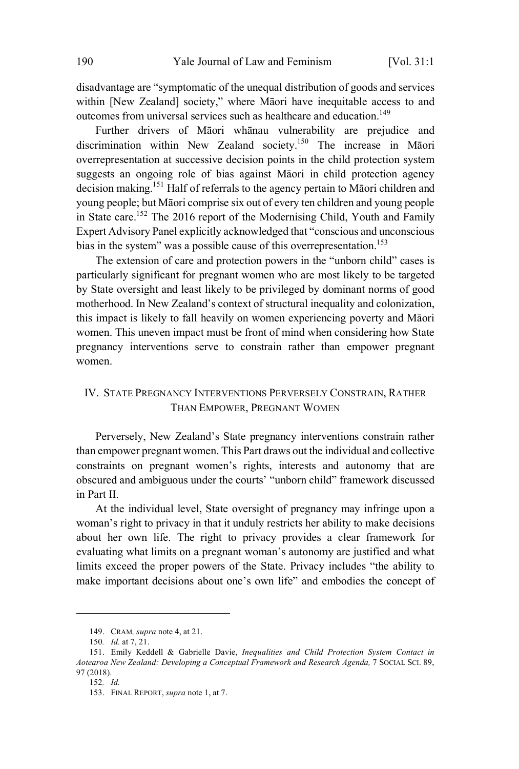disadvantage are "symptomatic of the unequal distribution of goods and services within [New Zealand] society," where Māori have inequitable access to and outcomes from universal services such as healthcare and education.<sup>149</sup>

Further drivers of Māori whānau vulnerability are prejudice and discrimination within New Zealand society.<sup>150</sup> The increase in Māori overrepresentation at successive decision points in the child protection system suggests an ongoing role of bias against Māori in child protection agency decision making. <sup>151</sup> Half of referrals to the agency pertain to Māori children and young people; but Māori comprise six out of every ten children and young people in State care. <sup>152</sup> The 2016 report of the Modernising Child, Youth and Family Expert Advisory Panel explicitly acknowledged that "conscious and unconscious bias in the system" was a possible cause of this overrepresentation.<sup>153</sup>

The extension of care and protection powers in the "unborn child" cases is particularly significant for pregnant women who are most likely to be targeted by State oversight and least likely to be privileged by dominant norms of good motherhood. In New Zealand's context of structural inequality and colonization, this impact is likely to fall heavily on women experiencing poverty and Māori women. This uneven impact must be front of mind when considering how State pregnancy interventions serve to constrain rather than empower pregnant women.

# IV. STATE PREGNANCY INTERVENTIONS PERVERSELY CONSTRAIN, RATHER THAN EMPOWER, PREGNANT WOMEN

Perversely, New Zealand's State pregnancy interventions constrain rather than empower pregnant women. This Part draws out the individual and collective constraints on pregnant women's rights, interests and autonomy that are obscured and ambiguous under the courts' "unborn child" framework discussed in Part II.

At the individual level, State oversight of pregnancy may infringe upon a woman's right to privacy in that it unduly restricts her ability to make decisions about her own life. The right to privacy provides a clear framework for evaluating what limits on a pregnant woman's autonomy are justified and what limits exceed the proper powers of the State. Privacy includes "the ability to make important decisions about one's own life" and embodies the concept of

<sup>149.</sup> CRAM*, supra* note 4, at 21.

<sup>150</sup>*. Id.* at 7, 21.

<sup>151.</sup> Emily Keddell & Gabrielle Davie, *Inequalities and Child Protection System Contact in Aotearoa New Zealand: Developing a Conceptual Framework and Research Agenda,* 7 SOCIAL SCI. 89, 97 (2018).

<sup>152</sup>*. Id.*

<sup>153.</sup> FINAL REPORT, *supra* note 1, at 7.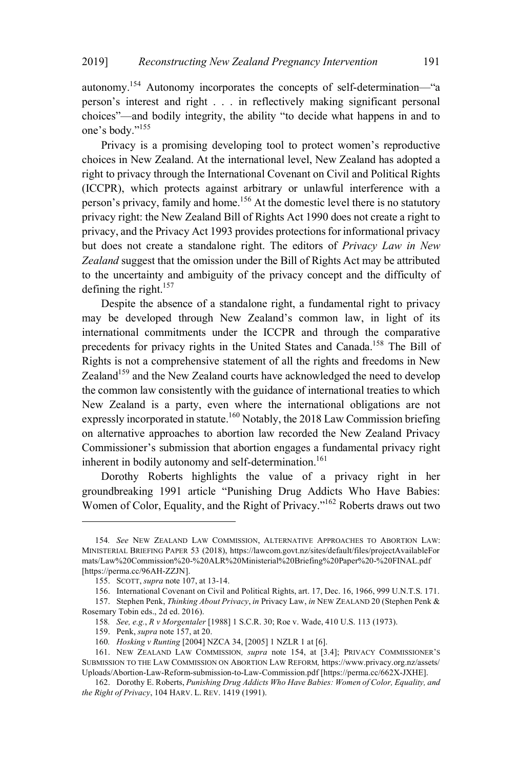autonomy.<sup>154</sup> Autonomy incorporates the concepts of self-determination—"a person's interest and right . . . in reflectively making significant personal choices"—and bodily integrity, the ability "to decide what happens in and to one's body."<sup>155</sup>

Privacy is a promising developing tool to protect women's reproductive choices in New Zealand. At the international level, New Zealand has adopted a right to privacy through the International Covenant on Civil and Political Rights (ICCPR), which protects against arbitrary or unlawful interference with a person's privacy, family and home.<sup>156</sup> At the domestic level there is no statutory privacy right: the New Zealand Bill of Rights Act 1990 does not create a right to privacy, and the Privacy Act 1993 provides protections for informational privacy but does not create a standalone right. The editors of *Privacy Law in New Zealand* suggest that the omission under the Bill of Rights Act may be attributed to the uncertainty and ambiguity of the privacy concept and the difficulty of defining the right. 157

Despite the absence of a standalone right, a fundamental right to privacy may be developed through New Zealand's common law, in light of its international commitments under the ICCPR and through the comparative precedents for privacy rights in the United States and Canada. <sup>158</sup> The Bill of Rights is not a comprehensive statement of all the rights and freedoms in New Zealand<sup>159</sup> and the New Zealand courts have acknowledged the need to develop the common law consistently with the guidance of international treaties to which New Zealand is a party, even where the international obligations are not expressly incorporated in statute.<sup>160</sup> Notably, the 2018 Law Commission briefing on alternative approaches to abortion law recorded the New Zealand Privacy Commissioner's submission that abortion engages a fundamental privacy right inherent in bodily autonomy and self-determination.<sup>161</sup>

Dorothy Roberts highlights the value of a privacy right in her groundbreaking 1991 article "Punishing Drug Addicts Who Have Babies: Women of Color, Equality, and the Right of Privacy."<sup>162</sup> Roberts draws out two

<sup>154</sup>*. See* NEW ZEALAND LAW COMMISSION, ALTERNATIVE APPROACHES TO ABORTION LAW: MINISTERIAL BRIEFING PAPER 53 (2018), https://lawcom.govt.nz/sites/default/files/projectAvailableFor mats/Law%20Commission%20-%20ALR%20Ministerial%20Briefing%20Paper%20-%20FINAL.pdf [https://perma.cc/96AH-ZZJN].

<sup>155.</sup> SCOTT, *supra* note 107, at 13-14.

<sup>156.</sup> International Covenant on Civil and Political Rights, art. 17, Dec. 16, 1966, 999 U.N.T.S. 171.

<sup>157.</sup> Stephen Penk, *Thinking About Privacy*, *in* Privacy Law, *in* NEW ZEALAND 20 (Stephen Penk & Rosemary Tobin eds., 2d ed. 2016).

<sup>158</sup>*. See, e.g.*, *R v Morgentaler* [1988] 1 S.C.R. 30; Roe v. Wade, 410 U.S. 113 (1973).

<sup>159.</sup> Penk, *supra* note 157, at 20.

<sup>160</sup>*. Hosking v Runting* [2004] NZCA 34, [2005] 1 NZLR 1 at [6].

<sup>161.</sup> NEW ZEALAND LAW COMMISSION*, supra* note 154, at [3.4]; PRIVACY COMMISSIONER'<sup>S</sup> SUBMISSION TO THE LAW COMMISSION ON ABORTION LAW REFORM*,* https://www.privacy.org.nz/assets/ Uploads/Abortion-Law-Reform-submission-to-Law-Commission.pdf [https://perma.cc/662X-JXHE].

<sup>162.</sup> Dorothy E. Roberts, *Punishing Drug Addicts Who Have Babies: Women of Color, Equality, and the Right of Privacy*, 104 HARV. L. REV. 1419 (1991).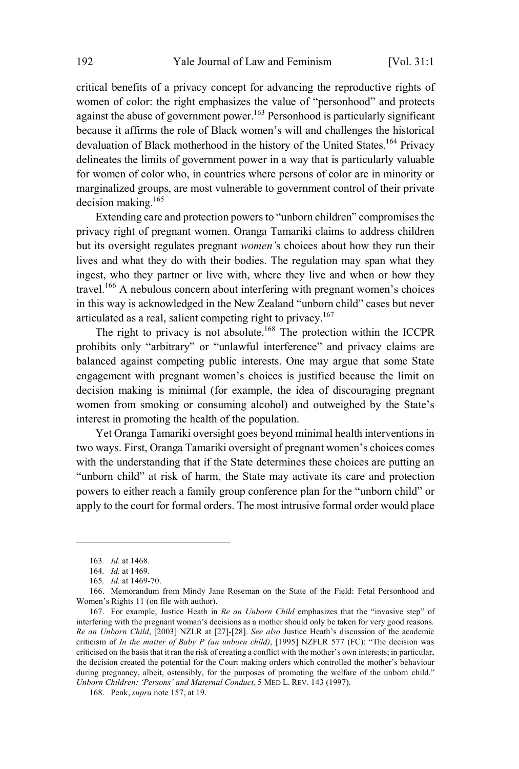critical benefits of a privacy concept for advancing the reproductive rights of women of color: the right emphasizes the value of "personhood" and protects against the abuse of government power.<sup>163</sup> Personhood is particularly significant because it affirms the role of Black women's will and challenges the historical devaluation of Black motherhood in the history of the United States.<sup>164</sup> Privacy delineates the limits of government power in a way that is particularly valuable for women of color who, in countries where persons of color are in minority or marginalized groups, are most vulnerable to government control of their private decision making. $165$ 

Extending care and protection powers to "unborn children" compromises the privacy right of pregnant women. Oranga Tamariki claims to address children but its oversight regulates pregnant *women'*s choices about how they run their lives and what they do with their bodies. The regulation may span what they ingest, who they partner or live with, where they live and when or how they travel. <sup>166</sup> A nebulous concern about interfering with pregnant women's choices in this way is acknowledged in the New Zealand "unborn child" cases but never articulated as a real, salient competing right to privacy.<sup>167</sup>

The right to privacy is not absolute.<sup>168</sup> The protection within the ICCPR prohibits only "arbitrary" or "unlawful interference" and privacy claims are balanced against competing public interests. One may argue that some State engagement with pregnant women's choices is justified because the limit on decision making is minimal (for example, the idea of discouraging pregnant women from smoking or consuming alcohol) and outweighed by the State's interest in promoting the health of the population.

Yet Oranga Tamariki oversight goes beyond minimal health interventions in two ways. First, Oranga Tamariki oversight of pregnant women's choices comes with the understanding that if the State determines these choices are putting an "unborn child" at risk of harm, the State may activate its care and protection powers to either reach a family group conference plan for the "unborn child" or apply to the court for formal orders. The most intrusive formal order would place

<sup>163</sup>*. Id.* at 1468.

<sup>164</sup>*. Id.* at 1469.

<sup>165</sup>*. Id.* at 1469-70.

<sup>166.</sup> Memorandum from Mindy Jane Roseman on the State of the Field: Fetal Personhood and Women's Rights 11 (on file with author).

<sup>167.</sup> For example, Justice Heath in *Re an Unborn Child* emphasizes that the "invasive step" of interfering with the pregnant woman's decisions as a mother should only be taken for very good reasons. *Re an Unborn Child*, [2003] NZLR at [27]-[28]. *See also* Justice Heath's discussion of the academic criticism of *In the matter of Baby P (an unborn child)*, [1995] NZFLR 577 (FC): "The decision was criticised on the basisthat it ran the risk of creating a conflict with the mother's own interests; in particular, the decision created the potential for the Court making orders which controlled the mother's behaviour during pregnancy, albeit, ostensibly, for the purposes of promoting the welfare of the unborn child." *Unborn Children: 'Persons' and Maternal Conduct,* 5 MED L. REV. 143 (1997).

<sup>168.</sup> Penk, *supra* note 157, at 19.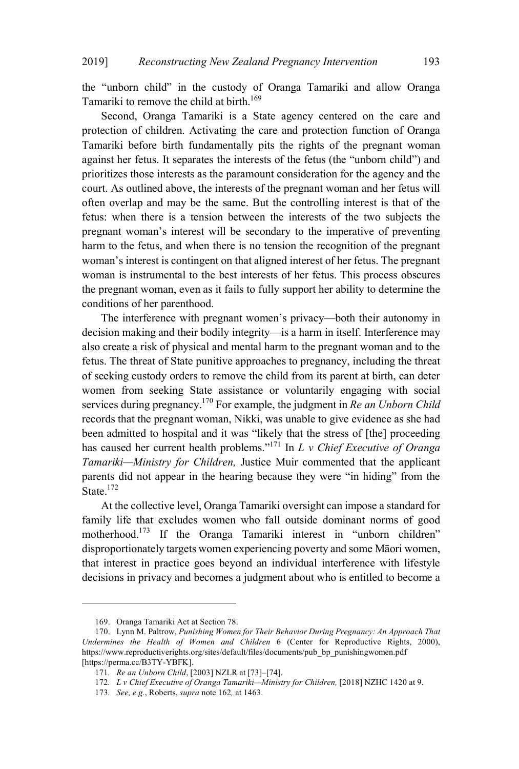the "unborn child" in the custody of Oranga Tamariki and allow Oranga Tamariki to remove the child at birth.<sup>169</sup>

Second, Oranga Tamariki is a State agency centered on the care and protection of children. Activating the care and protection function of Oranga Tamariki before birth fundamentally pits the rights of the pregnant woman against her fetus. It separates the interests of the fetus (the "unborn child") and prioritizes those interests as the paramount consideration for the agency and the court. As outlined above, the interests of the pregnant woman and her fetus will often overlap and may be the same. But the controlling interest is that of the fetus: when there is a tension between the interests of the two subjects the pregnant woman's interest will be secondary to the imperative of preventing harm to the fetus, and when there is no tension the recognition of the pregnant woman's interest is contingent on that aligned interest of her fetus. The pregnant woman is instrumental to the best interests of her fetus. This process obscures the pregnant woman, even as it fails to fully support her ability to determine the conditions of her parenthood.

The interference with pregnant women's privacy—both their autonomy in decision making and their bodily integrity—is a harm in itself. Interference may also create a risk of physical and mental harm to the pregnant woman and to the fetus. The threat of State punitive approaches to pregnancy, including the threat of seeking custody orders to remove the child from its parent at birth, can deter women from seeking State assistance or voluntarily engaging with social services during pregnancy.<sup>170</sup> For example, the judgment in *Re an Unborn Child* records that the pregnant woman, Nikki, was unable to give evidence as she had been admitted to hospital and it was "likely that the stress of [the] proceeding has caused her current health problems." <sup>171</sup> In *<sup>L</sup> <sup>v</sup> Chief Executive of Oranga Tamariki—Ministry for Children,* Justice Muir commented that the applicant parents did not appear in the hearing because they were "in hiding" from the State.<sup>172</sup>

At the collective level, Oranga Tamariki oversight can impose a standard for family life that excludes women who fall outside dominant norms of good motherhood.<sup>173</sup> If the Oranga Tamariki interest in "unborn children" disproportionately targets women experiencing poverty and some Māori women, that interest in practice goes beyond an individual interference with lifestyle decisions in privacy and becomes a judgment about who is entitled to become a

<sup>169.</sup> Oranga Tamariki Act at Section 78.

<sup>170.</sup> Lynn M. Paltrow, *Punishing Women for Their Behavior During Pregnancy: An Approach That Undermines the Health of Women and Children* 6 (Center for Reproductive Rights, 2000), https://www.reproductiverights.org/sites/default/files/documents/pub\_bp\_punishingwomen.pdf [https://perma.cc/B3TY-YBFK].

<sup>171</sup>*. Re an Unborn Child*, [2003] NZLR at [73]–[74].

<sup>172</sup>*. L v Chief Executive of Oranga Tamariki—Ministry for Children,* [2018] NZHC 1420 at 9.

<sup>173</sup>*. See, e.g.*, Roberts, *supra* note 162*,* at 1463.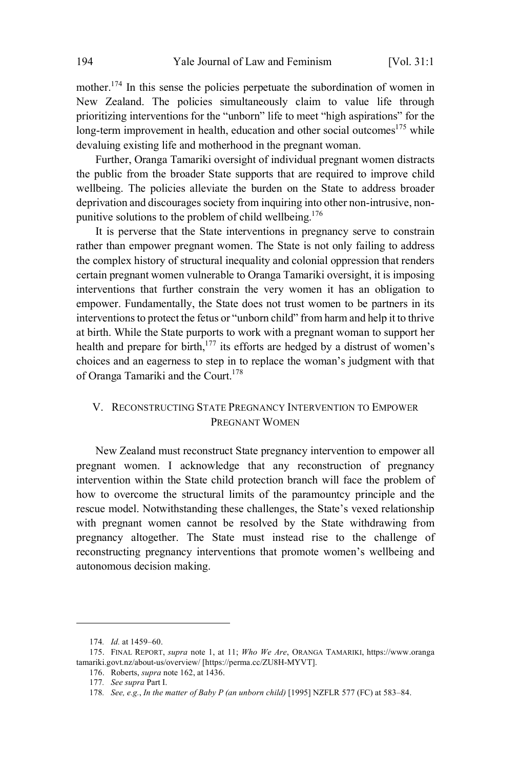mother.<sup>174</sup> In this sense the policies perpetuate the subordination of women in New Zealand. The policies simultaneously claim to value life through prioritizing interventions for the "unborn" life to meet "high aspirations" for the Iong-term improvement in health, education and other social outcomes<sup>175</sup> while devaluing existing life and motherhood in the pregnant woman.

Further, Oranga Tamariki oversight of individual pregnant women distracts the public from the broader State supports that are required to improve child wellbeing. The policies alleviate the burden on the State to address broader deprivation and discourages society from inquiring into other non-intrusive, nonpunitive solutions to the problem of child wellbeing. 176

It is perverse that the State interventions in pregnancy serve to constrain rather than empower pregnant women. The State is not only failing to address the complex history of structural inequality and colonial oppression that renders certain pregnant women vulnerable to Oranga Tamariki oversight, it is imposing interventions that further constrain the very women it has an obligation to empower. Fundamentally, the State does not trust women to be partners in its interventions to protect the fetus or "unborn child" from harm and help it to thrive at birth. While the State purports to work with a pregnant woman to support her health and prepare for birth, $177$  its efforts are hedged by a distrust of women's choices and an eagerness to step in to replace the woman's judgment with that of Oranga Tamariki and the Court.<sup>178</sup>

## V. RECONSTRUCTING STATE PREGNANCY INTERVENTION TO EMPOWER PREGNANT WOMEN

New Zealand must reconstruct State pregnancy intervention to empower all pregnant women. I acknowledge that any reconstruction of pregnancy intervention within the State child protection branch will face the problem of how to overcome the structural limits of the paramountcy principle and the rescue model. Notwithstanding these challenges, the State's vexed relationship with pregnant women cannot be resolved by the State withdrawing from pregnancy altogether. The State must instead rise to the challenge of reconstructing pregnancy interventions that promote women's wellbeing and autonomous decision making.

<sup>174</sup>*. Id.* at 1459–60.

<sup>175.</sup> FINAL REPORT, *supra* note 1, at 11; *Who We Are*, ORANGA TAMARIKI, https://www.oranga tamariki.govt.nz/about-us/overview/ [https://perma.cc/ZU8H-MYVT].

<sup>176.</sup> Roberts, *supra* note 162, at 1436.

<sup>177</sup>*. See supra* Part I.

<sup>178</sup>*. See, e.g.*, *In the matter of Baby P (an unborn child)* [1995] NZFLR 577 (FC) at 583–84.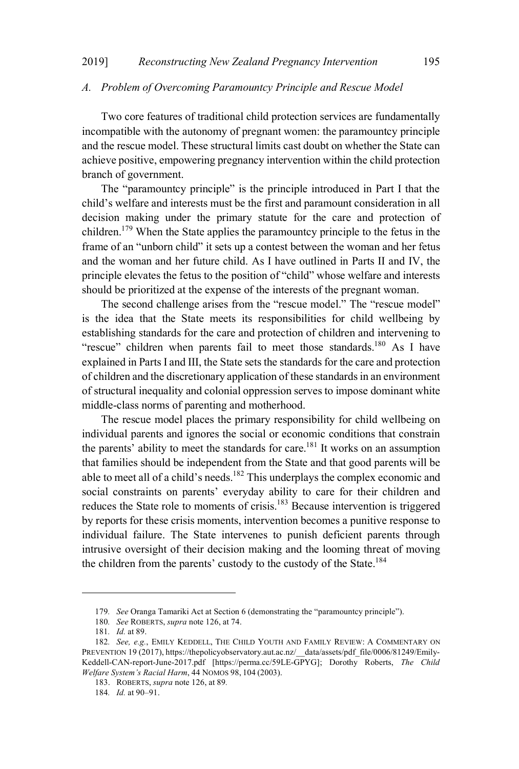#### *A. Problem of Overcoming Paramountcy Principle and Rescue Model*

Two core features of traditional child protection services are fundamentally incompatible with the autonomy of pregnant women: the paramountcy principle and the rescue model. These structural limits cast doubt on whether the State can achieve positive, empowering pregnancy intervention within the child protection branch of government.

The "paramountcy principle" is the principle introduced in Part I that the child's welfare and interests must be the first and paramount consideration in all decision making under the primary statute for the care and protection of children.<sup>179</sup> When the State applies the paramountcy principle to the fetus in the frame of an "unborn child" it sets up a contest between the woman and her fetus and the woman and her future child. As I have outlined in Parts II and IV, the principle elevates the fetus to the position of "child" whose welfare and interests should be prioritized at the expense of the interests of the pregnant woman.

The second challenge arises from the "rescue model." The "rescue model" is the idea that the State meets its responsibilities for child wellbeing by establishing standards for the care and protection of children and intervening to "rescue" children when parents fail to meet those standards.<sup>180</sup> As I have explained in Parts I and III, the State sets the standards for the care and protection of children and the discretionary application of these standardsin an environment of structural inequality and colonial oppression serves to impose dominant white middle-class norms of parenting and motherhood.

The rescue model places the primary responsibility for child wellbeing on individual parents and ignores the social or economic conditions that constrain the parents' ability to meet the standards for care. <sup>181</sup> It works on an assumption that families should be independent from the State and that good parents will be able to meet all of a child's needs.<sup>182</sup> This underplays the complex economic and social constraints on parents' everyday ability to care for their children and reduces the State role to moments of crisis.<sup>183</sup> Because intervention is triggered by reports for these crisis moments, intervention becomes a punitive response to individual failure. The State intervenes to punish deficient parents through intrusive oversight of their decision making and the looming threat of moving the children from the parents' custody to the custody of the State.<sup>184</sup>

<sup>179</sup>*. See* Oranga Tamariki Act at Section 6 (demonstrating the "paramountcy principle").

<sup>180</sup>*. See* ROBERTS, *supra* note 126, at 74.

<sup>181</sup>*. Id.* at 89.

<sup>182</sup>*. See, e.g.*, EMILY KEDDELL, THE CHILD YOUTH AND FAMILY REVIEW: A COMMENTARY ON PREVENTION 19 (2017), https://thepolicyobservatory.aut.ac.nz/\_\_data/assets/pdf\_file/0006/81249/Emily-Keddell-CAN-report-June-2017.pdf [https://perma.cc/59LE-GPYG]; Dorothy Roberts, *The Child Welfare System's Racial Harm*, 44 NOMOS 98, 104 (2003).

<sup>183.</sup> ROBERTS, *supra* note 126, at 89*.*

<sup>184</sup>*. Id.* at 90–91.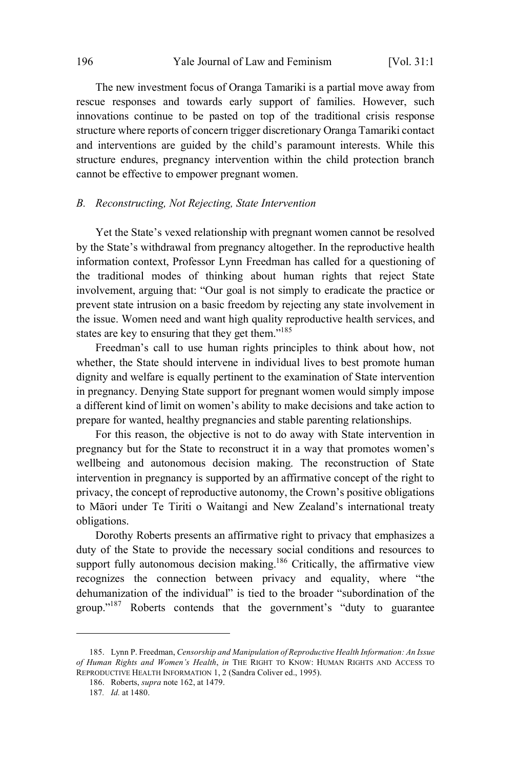The new investment focus of Oranga Tamariki is a partial move away from rescue responses and towards early support of families. However, such innovations continue to be pasted on top of the traditional crisis response structure where reports of concern trigger discretionary Oranga Tamariki contact and interventions are guided by the child's paramount interests. While this structure endures, pregnancy intervention within the child protection branch cannot be effective to empower pregnant women.

#### *B. Reconstructing, Not Rejecting, State Intervention*

Yet the State's vexed relationship with pregnant women cannot be resolved by the State's withdrawal from pregnancy altogether. In the reproductive health information context, Professor Lynn Freedman has called for a questioning of the traditional modes of thinking about human rights that reject State involvement, arguing that: "Our goal is not simply to eradicate the practice or prevent state intrusion on a basic freedom by rejecting any state involvement in the issue. Women need and want high quality reproductive health services, and states are key to ensuring that they get them."<sup>185</sup>

Freedman's call to use human rights principles to think about how, not whether, the State should intervene in individual lives to best promote human dignity and welfare is equally pertinent to the examination of State intervention in pregnancy. Denying State support for pregnant women would simply impose a different kind of limit on women's ability to make decisions and take action to prepare for wanted, healthy pregnancies and stable parenting relationships.

For this reason, the objective is not to do away with State intervention in pregnancy but for the State to reconstruct it in a way that promotes women's wellbeing and autonomous decision making. The reconstruction of State intervention in pregnancy is supported by an affirmative concept of the right to privacy, the concept of reproductive autonomy, the Crown's positive obligations to Māori under Te Tiriti o Waitangi and New Zealand's international treaty obligations.

Dorothy Roberts presents an affirmative right to privacy that emphasizes a duty of the State to provide the necessary social conditions and resources to support fully autonomous decision making.<sup>186</sup> Critically, the affirmative view recognizes the connection between privacy and equality, where "the dehumanization of the individual" is tied to the broader "subordination of the group." <sup>187</sup> Roberts contends that the government's "duty to guarantee

<sup>185.</sup> Lynn P. Freedman, *Censorship and Manipulation of Reproductive Health Information: An Issue of Human Rights and Women's Health*, *in* THE RIGHT TO KNOW: HUMAN RIGHTS AND ACCESS TO REPRODUCTIVE HEALTH INFORMATION 1, 2 (Sandra Coliver ed., 1995).

<sup>186.</sup> Roberts, *supra* note 162, at 1479.

<sup>187</sup>*. Id.* at 1480.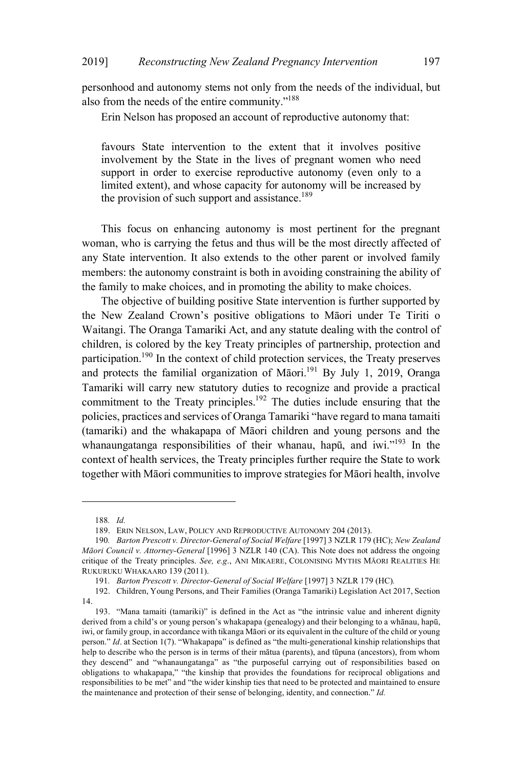personhood and autonomy stems not only from the needs of the individual, but also from the needs of the entire community."<sup>188</sup>

Erin Nelson has proposed an account of reproductive autonomy that:

favours State intervention to the extent that it involves positive involvement by the State in the lives of pregnant women who need support in order to exercise reproductive autonomy (even only to a limited extent), and whose capacity for autonomy will be increased by the provision of such support and assistance.<sup>189</sup>

This focus on enhancing autonomy is most pertinent for the pregnant woman, who is carrying the fetus and thus will be the most directly affected of any State intervention. It also extends to the other parent or involved family members: the autonomy constraint is both in avoiding constraining the ability of the family to make choices, and in promoting the ability to make choices.

The objective of building positive State intervention is further supported by the New Zealand Crown's positive obligations to Māori under Te Tiriti o Waitangi. The Oranga Tamariki Act, and any statute dealing with the control of children, is colored by the key Treaty principles of partnership, protection and participation.<sup>190</sup> In the context of child protection services, the Treaty preserves and protects the familial organization of Māori.<sup>191</sup> By July 1, 2019, Oranga Tamariki will carry new statutory duties to recognize and provide a practical commitment to the Treaty principles.<sup>192</sup> The duties include ensuring that the policies, practices and services of Oranga Tamariki "have regard to mana tamaiti (tamariki) and the whakapapa of Māori children and young persons and the whanaungatanga responsibilities of their whanau, hapū, and iwi."<sup>193</sup> In the context of health services, the Treaty principles further require the State to work together with Māori communities to improve strategies for Māori health, involve

<sup>188</sup>*. Id.*

<sup>189.</sup> ERIN NELSON, LAW, POLICY AND REPRODUCTIVE AUTONOMY 204 (2013).

<sup>190</sup>*. Barton Prescott v. Director-General of Social Welfare* [1997] 3 NZLR 179 (HC); *New Zealand Māori Council v. Attorney-General* [1996] 3 NZLR 140 (CA). This Note does not address the ongoing critique of the Treaty principles. *See, e.g*., ANI MIKAERE, COLONISING MYTHS MĀORI REALITIES H<sup>E</sup> RUKURUKU WHAKAARO 139 (2011).

<sup>191</sup>*. Barton Prescott v. Director-General of Social Welfare* [1997] 3 NZLR 179 (HC)*.*

<sup>192.</sup> Children, Young Persons, and Their Families (Oranga Tamariki) Legislation Act 2017, Section 14.

<sup>193.</sup> "Mana tamaiti (tamariki)" is defined in the Act as "the intrinsic value and inherent dignity derived from a child's or young person's whakapapa (genealogy) and their belonging to a whānau, hapū, iwi, or family group, in accordance with tikanga Māori or its equivalent in the culture of the child or young person." *Id*. at Section 1(7). "Whakapapa" is defined as "the multi-generational kinship relationships that help to describe who the person is in terms of their mātua (parents), and tūpuna (ancestors), from whom they descend" and "whanaungatanga" as "the purposeful carrying out of responsibilities based on obligations to whakapapa," "the kinship that provides the foundations for reciprocal obligations and responsibilities to be met" and "the wider kinship ties that need to be protected and maintained to ensure the maintenance and protection of their sense of belonging, identity, and connection." *Id.*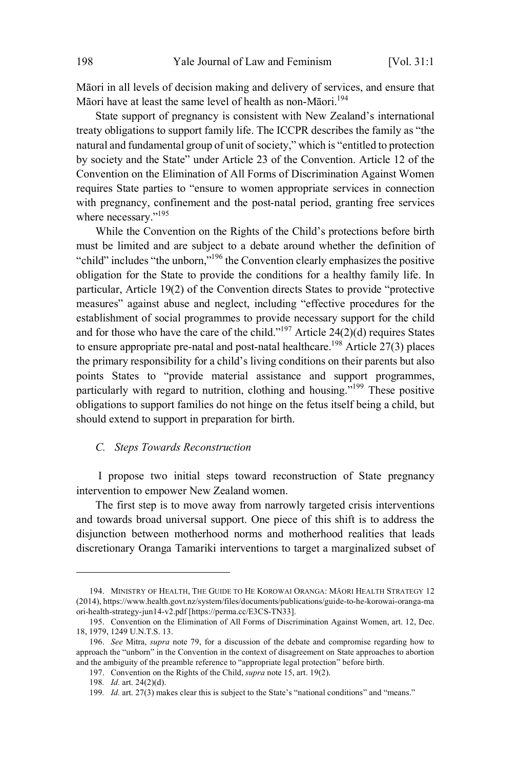Māori in all levels of decision making and delivery of services, and ensure that Māori have at least the same level of health as non-Māori.<sup>194</sup>

State support of pregnancy is consistent with New Zealand's international treaty obligations to support family life. The ICCPR describes the family as "the natural and fundamental group of unit of society," which is "entitled to protection by society and the State" under Article 23 of the Convention. Article 12 of the Convention on the Elimination of All Forms of Discrimination Against Women requires State parties to "ensure to women appropriate services in connection with pregnancy, confinement and the post-natal period, granting free services where necessary."<sup>195</sup>

While the Convention on the Rights of the Child's protections before birth must be limited and are subject to a debate around whether the definition of "child" includes "the unborn,"<sup>196</sup> the Convention clearly emphasizes the positive obligation for the State to provide the conditions for a healthy family life. In particular, Article 19(2) of the Convention directs States to provide "protective measures" against abuse and neglect, including "effective procedures for the establishment of social programmes to provide necessary support for the child and for those who have the care of the child."<sup>197</sup> Article 24(2)(d) requires States to ensure appropriate pre-natal and post-natal healthcare.<sup>198</sup> Article 27(3) places the primary responsibility for a child's living conditions on their parents but also points States to "provide material assistance and support programmes, particularly with regard to nutrition, clothing and housing."<sup>199</sup> These positive obligations to support families do not hinge on the fetus itself being a child, but should extend to support in preparation for birth.

#### *C. Steps Towards Reconstruction*

I propose two initial steps toward reconstruction of State pregnancy intervention to empower New Zealand women.

The first step is to move away from narrowly targeted crisis interventions and towards broad universal support. One piece of this shift is to address the disjunction between motherhood norms and motherhood realities that leads discretionary Oranga Tamariki interventions to target a marginalized subset of

<sup>194.</sup> MINISTRY OF HEALTH, THE GUIDE TO HE KOROWAI ORANGA: MĀORI HEALTH STRATEGY 12 (2014), https://www.health.govt.nz/system/files/documents/publications/guide-to-he-korowai-oranga-ma ori-health-strategy-jun14-v2.pdf [https://perma.cc/E3CS-TN33].

<sup>195.</sup> Convention on the Elimination of All Forms of Discrimination Against Women, art. 12, Dec. 18, 1979, 1249 U.N.T.S. 13.

<sup>196.</sup> *See* Mitra, *supra* note 79, for a discussion of the debate and compromise regarding how to approach the "unborn" in the Convention in the context of disagreement on State approaches to abortion and the ambiguity of the preamble reference to "appropriate legal protection" before birth.

<sup>197.</sup> Convention on the Rights of the Child, *supra* note 15, art. 19(2).

<sup>198</sup>*. Id.* art. 24(2)(d).

<sup>199</sup>*. Id.* art. 27(3) makes clear this is subject to the State's "national conditions" and "means."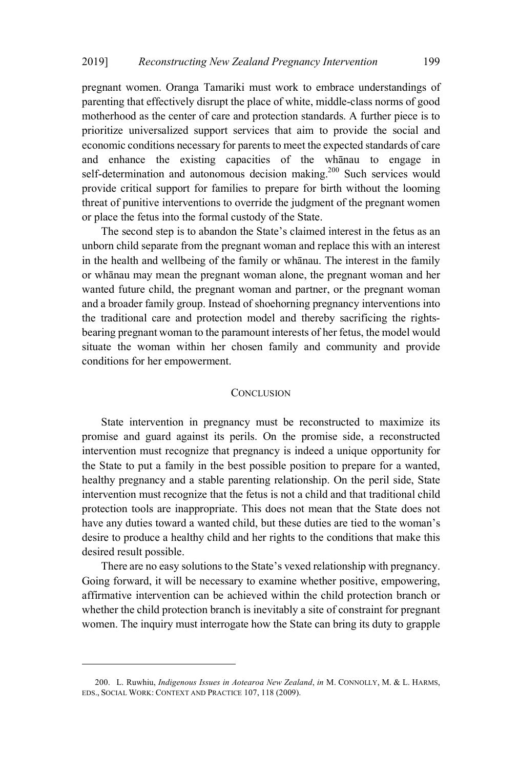pregnant women. Oranga Tamariki must work to embrace understandings of parenting that effectively disrupt the place of white, middle-class norms of good motherhood as the center of care and protection standards. A further piece is to prioritize universalized support services that aim to provide the social and economic conditions necessary for parents to meet the expected standards of care and enhance the existing capacities of the whānau to engage in self-determination and autonomous decision making.<sup>200</sup> Such services would provide critical support for families to prepare for birth without the looming threat of punitive interventions to override the judgment of the pregnant women or place the fetus into the formal custody of the State.

The second step is to abandon the State's claimed interest in the fetus as an unborn child separate from the pregnant woman and replace this with an interest in the health and wellbeing of the family or whānau. The interest in the family or whānau may mean the pregnant woman alone, the pregnant woman and her wanted future child, the pregnant woman and partner, or the pregnant woman and a broader family group. Instead of shoehorning pregnancy interventions into the traditional care and protection model and thereby sacrificing the rightsbearing pregnant woman to the paramount interests of her fetus, the model would situate the woman within her chosen family and community and provide conditions for her empowerment.

#### **CONCLUSION**

State intervention in pregnancy must be reconstructed to maximize its promise and guard against its perils. On the promise side, a reconstructed intervention must recognize that pregnancy is indeed a unique opportunity for the State to put a family in the best possible position to prepare for a wanted, healthy pregnancy and a stable parenting relationship. On the peril side, State intervention must recognize that the fetus is not a child and that traditional child protection tools are inappropriate. This does not mean that the State does not have any duties toward a wanted child, but these duties are tied to the woman's desire to produce a healthy child and her rights to the conditions that make this desired result possible.

There are no easy solutions to the State's vexed relationship with pregnancy. Going forward, it will be necessary to examine whether positive, empowering, affirmative intervention can be achieved within the child protection branch or whether the child protection branch is inevitably a site of constraint for pregnant women. The inquiry must interrogate how the State can bring its duty to grapple

<sup>200.</sup> L. Ruwhiu, *Indigenous Issues in Aotearoa New Zealand*, *in* M. CONNOLLY, M. & L. HARMS, EDS., SOCIAL WORK: CONTEXT AND PRACTICE 107, 118 (2009).